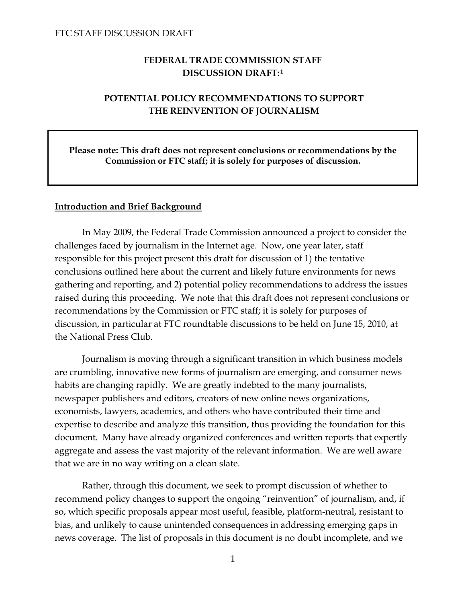# **FEDERAL TRADE COMMISSION STAFF DISCUSSION DRAFT:[1](#page-34-0)**

# **POTENTIAL POLICY RECOMMENDATIONS TO SUPPORT THE REINVENTION OF JOURNALISM**

 **Please note: This draft does not represent conclusions or recommendations by the Commission or FTC staff; it is solely for purposes of discussion.**

### **Introduction and Brief Background**

 In May 2009, the Federal Trade Commission announced a project to consider the challenges faced by journalism in the Internet age. Now, one year later, staff responsible for this project present this draft for discussion of 1) the tentative conclusions outlined here about the current and likely future environments for news gathering and reporting, and 2) potential policy recommendations to address the issues raised during this proceeding. We note that this draft does not represent conclusions or recommendations by the Commission or FTC staff; it is solely for purposes of discussion, in particular at FTC roundtable discussions to be held on June 15, 2010, at the National Press Club.

 Journalism is moving through a significant transition in which business models are crumbling, innovative new forms of journalism are emerging, and consumer news habits are changing rapidly. We are greatly indebted to the many journalists, newspaper publishers and editors, creators of new online news organizations, economists, lawyers, academics, and others who have contributed their time and expertise to describe and analyze this transition, thus providing the foundation for this document. Many have already organized conferences and written reports that expertly aggregate and assess the vast majority of the relevant information. We are well aware that we are in no way writing on a clean slate.

 Rather, through this document, we seek to prompt discussion of whether to recommend policy changes to support the ongoing "reinvention" of journalism, and, if so, which specific proposals appear most useful, feasible, platform-neutral, resistant to bias, and unlikely to cause unintended consequences in addressing emerging gaps in news coverage. The list of proposals in this document is no doubt incomplete, and we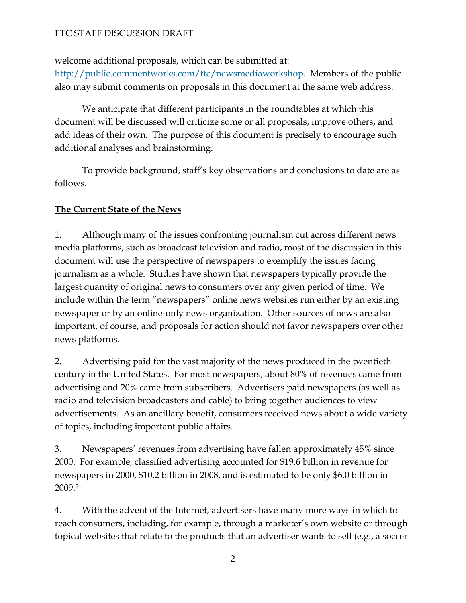welcome additional proposals, which can be submitted at:

[http://public.commentworks.com/ftc/newsmediaworkshop.](http://public.commentworks.com/ftc/newsmediaworkshop) Members of the public also may submit comments on proposals in this document at the same web address.

We anticipate that different participants in the roundtables at which this document will be discussed will criticize some or all proposals, improve others, and add ideas of their own. The purpose of this document is precisely to encourage such additional analyses and brainstorming.

 To provide background, staff's key observations and conclusions to date are as follows.

# **The Current State of the News**

1. Although many of the issues confronting journalism cut across different news media platforms, such as broadcast television and radio, most of the discussion in this document will use the perspective of newspapers to exemplify the issues facing journalism as a whole. Studies have shown that newspapers typically provide the largest quantity of original news to consumers over any given period of time. We include within the term "newspapers" online news websites run either by an existing newspaper or by an online-only news organization. Other sources of news are also important, of course, and proposals for action should not favor newspapers over other news platforms.

2. Advertising paid for the vast majority of the news produced in the twentieth century in the United States. For most newspapers, about 80% of revenues came from advertising and 20% came from subscribers. Advertisers paid newspapers (as well as radio and television broadcasters and cable) to bring together audiences to view advertisements. As an ancillary benefit, consumers received news about a wide variety of topics, including important public affairs.

3. Newspapers' revenues from advertising have fallen approximately 45% since 2000. For example, classified advertising accounted for \$19.6 billion in revenue for newspapers in 2000, \$10.2 billion in 2008, and is estimated to be only \$6.0 billion in 2009.[2](#page-35-0)

4. With the advent of the Internet, advertisers have many more ways in which to reach consumers, including, for example, through a marketer's own website or through topical websites that relate to the products that an advertiser wants to sell (e.g., a soccer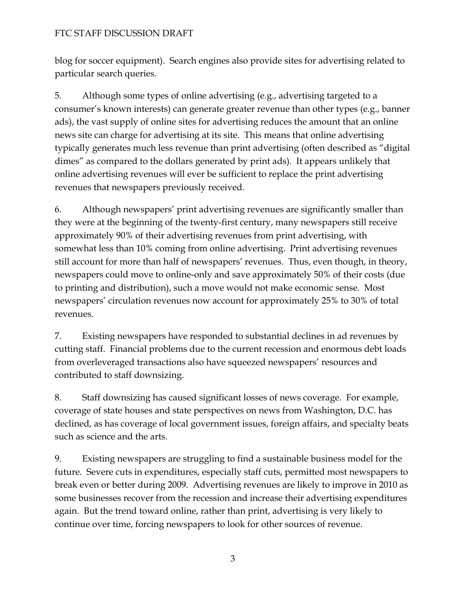blog for soccer equipment). Search engines also provide sites for advertising related to particular search queries.

5. Although some types of online advertising (e.g., advertising targeted to a consumer's known interests) can generate greater revenue than other types (e.g., banner ads), the vast supply of online sites for advertising reduces the amount that an online news site can charge for advertising at its site. This means that online advertising typically generates much less revenue than print advertising (often described as "digital dimes" as compared to the dollars generated by print ads). It appears unlikely that online advertising revenues will ever be sufficient to replace the print advertising revenues that newspapers previously received.

6. Although newspapers' print advertising revenues are significantly smaller than they were at the beginning of the twenty-first century, many newspapers still receive approximately 90% of their advertising revenues from print advertising, with somewhat less than 10% coming from online advertising. Print advertising revenues still account for more than half of newspapers' revenues. Thus, even though, in theory, newspapers could move to online-only and save approximately 50% of their costs (due to printing and distribution), such a move would not make economic sense. Most newspapers' circulation revenues now account for approximately 25% to 30% of total revenues.

7. Existing newspapers have responded to substantial declines in ad revenues by cutting staff. Financial problems due to the current recession and enormous debt loads from overleveraged transactions also have squeezed newspapers' resources and contributed to staff downsizing.

8. Staff downsizing has caused significant losses of news coverage. For example, coverage of state houses and state perspectives on news from Washington, D.C. has declined, as has coverage of local government issues, foreign affairs, and specialty beats such as science and the arts.

9. Existing newspapers are struggling to find a sustainable business model for the future. Severe cuts in expenditures, especially staff cuts, permitted most newspapers to break even or better during 2009. Advertising revenues are likely to improve in 2010 as some businesses recover from the recession and increase their advertising expenditures again. But the trend toward online, rather than print, advertising is very likely to continue over time, forcing newspapers to look for other sources of revenue.

3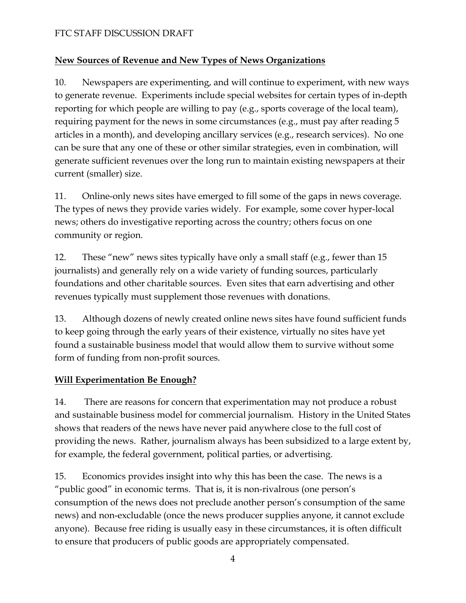# **New Sources of Revenue and New Types of News Organizations**

10. Newspapers are experimenting, and will continue to experiment, with new ways to generate revenue. Experiments include special websites for certain types of in-depth reporting for which people are willing to pay (e.g., sports coverage of the local team), requiring payment for the news in some circumstances (e.g., must pay after reading 5 articles in a month), and developing ancillary services (e.g., research services). No one can be sure that any one of these or other similar strategies, even in combination, will generate sufficient revenues over the long run to maintain existing newspapers at their current (smaller) size.

11. Online-only news sites have emerged to fill some of the gaps in news coverage. The types of news they provide varies widely. For example, some cover hyper-local news; others do investigative reporting across the country; others focus on one community or region.

12. These "new" news sites typically have only a small staff (e.g., fewer than 15 journalists) and generally rely on a wide variety of funding sources, particularly foundations and other charitable sources. Even sites that earn advertising and other revenues typically must supplement those revenues with donations.

13. Although dozens of newly created online news sites have found sufficient funds to keep going through the early years of their existence, virtually no sites have yet found a sustainable business model that would allow them to survive without some form of funding from non-profit sources.

# **Will Experimentation Be Enough?**

14. There are reasons for concern that experimentation may not produce a robust and sustainable business model for commercial journalism. History in the United States shows that readers of the news have never paid anywhere close to the full cost of providing the news. Rather, journalism always has been subsidized to a large extent by, for example, the federal government, political parties, or advertising.

15. Economics provides insight into why this has been the case. The news is a "public good" in economic terms. That is, it is non-rivalrous (one person's consumption of the news does not preclude another person's consumption of the same news) and non-excludable (once the news producer supplies anyone, it cannot exclude anyone). Because free riding is usually easy in these circumstances, it is often difficult to ensure that producers of public goods are appropriately compensated.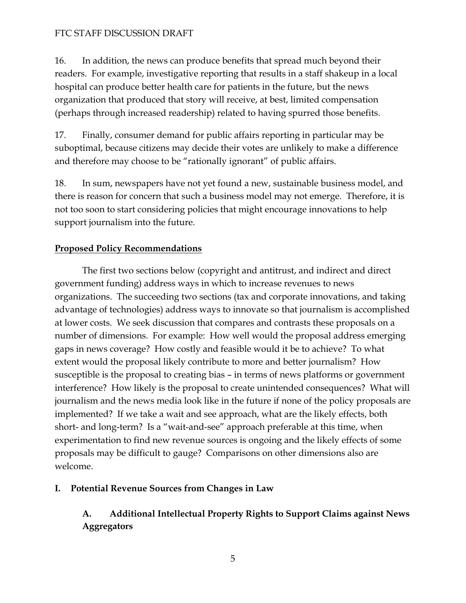16. In addition, the news can produce benefits that spread much beyond their readers. For example, investigative reporting that results in a staff shakeup in a local hospital can produce better health care for patients in the future, but the news organization that produced that story will receive, at best, limited compensation (perhaps through increased readership) related to having spurred those benefits.

17. Finally, consumer demand for public affairs reporting in particular may be suboptimal, because citizens may decide their votes are unlikely to make a difference and therefore may choose to be "rationally ignorant" of public affairs.

18. In sum, newspapers have not yet found a new, sustainable business model, and there is reason for concern that such a business model may not emerge. Therefore, it is not too soon to start considering policies that might encourage innovations to help support journalism into the future.

# **Proposed Policy Recommendations**

 The first two sections below (copyright and antitrust, and indirect and direct government funding) address ways in which to increase revenues to news organizations. The succeeding two sections (tax and corporate innovations, and taking advantage of technologies) address ways to innovate so that journalism is accomplished at lower costs. We seek discussion that compares and contrasts these proposals on a number of dimensions. For example: How well would the proposal address emerging gaps in news coverage? How costly and feasible would it be to achieve? To what extent would the proposal likely contribute to more and better journalism? How susceptible is the proposal to creating bias – in terms of news platforms or government interference? How likely is the proposal to create unintended consequences? What will journalism and the news media look like in the future if none of the policy proposals are implemented? If we take a wait and see approach, what are the likely effects, both short- and long-term? Is a "wait-and-see" approach preferable at this time, when experimentation to find new revenue sources is ongoing and the likely effects of some proposals may be difficult to gauge? Comparisons on other dimensions also are welcome.

# **I. Potential Revenue Sources from Changes in Law**

**A. Additional Intellectual Property Rights to Support Claims against News Aggregators**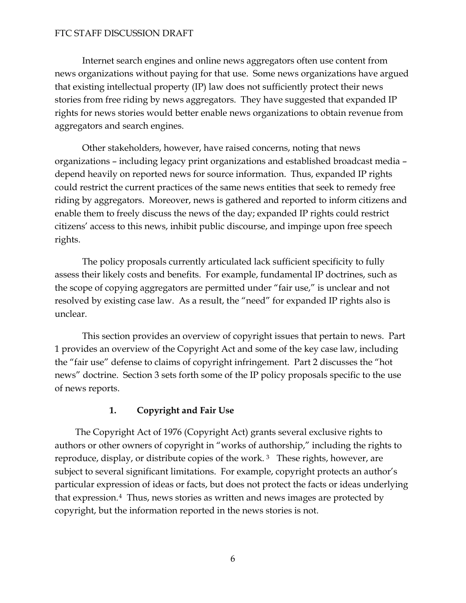Internet search engines and online news aggregators often use content from news organizations without paying for that use. Some news organizations have argued that existing intellectual property (IP) law does not sufficiently protect their news stories from free riding by news aggregators. They have suggested that expanded IP rights for news stories would better enable news organizations to obtain revenue from aggregators and search engines.

Other stakeholders, however, have raised concerns, noting that news organizations – including legacy print organizations and established broadcast media – depend heavily on reported news for source information. Thus, expanded IP rights could restrict the current practices of the same news entities that seek to remedy free riding by aggregators. Moreover, news is gathered and reported to inform citizens and enable them to freely discuss the news of the day; expanded IP rights could restrict citizens' access to this news, inhibit public discourse, and impinge upon free speech rights.

The policy proposals currently articulated lack sufficient specificity to fully assess their likely costs and benefits. For example, fundamental IP doctrines, such as the scope of copying aggregators are permitted under "fair use," is unclear and not resolved by existing case law. As a result, the "need" for expanded IP rights also is unclear.

This section provides an overview of copyright issues that pertain to news. Part 1 provides an overview of the Copyright Act and some of the key case law, including the "fair use" defense to claims of copyright infringement. Part 2 discusses the "hot news" doctrine. Section 3 sets forth some of the IP policy proposals specific to the use of news reports.

# **1. Copyright and Fair Use**

The Copyright Act of 1976 (Copyright Act) grants several exclusive rights to authors or other owners of copyright in "works of authorship," including the rights to reproduce, display, or distribute copies of the work.<sup>[3](#page-35-1)</sup> These rights, however, are subject to several significant limitations. For example, copyright protects an author's particular expression of ideas or facts, but does not protect the facts or ideas underlying that expression.[4](#page-35-2) Thus, news stories as written and news images are protected by copyright, but the information reported in the news stories is not.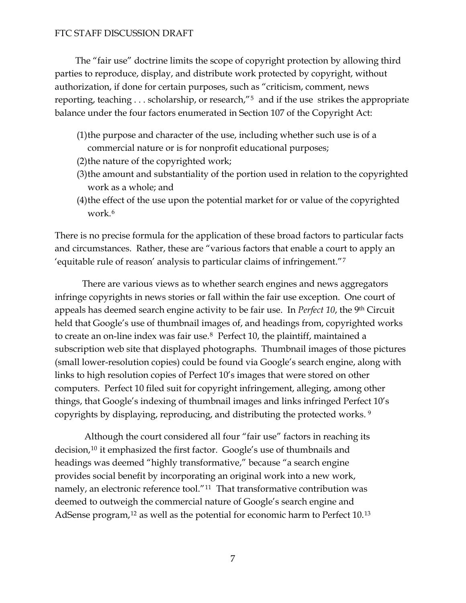The "fair use" doctrine limits the scope of copyright protection by allowing third parties to reproduce, display, and distribute work protected by copyright, without authorization, if done for certain purposes, such as "criticism, comment, news reporting, teaching . . . scholarship, or research,"[5](#page-35-3) and if the use strikes the appropriate balance under the four factors enumerated in Section 107 of the Copyright Act:

- (1)the purpose and character of the use, including whether such use is of a commercial nature or is for nonprofit educational purposes;
- (2)the nature of the copyrighted work;
- (3)the amount and substantiality of the portion used in relation to the copyrighted work as a whole; and
- (4)the effect of the use upon the potential market for or value of the copyrighted work.[6](#page-35-4)

There is no precise formula for the application of these broad factors to particular facts and circumstances. Rather, these are "various factors that enable a court to apply an 'equitable rule of reason' analysis to particular claims of infringement."[7](#page-35-5)

There are various views as to whether search engines and news aggregators infringe copyrights in news stories or fall within the fair use exception. One court of appeals has deemed search engine activity to be fair use. In *Perfect 10*, the 9th Circuit held that Google's use of thumbnail images of, and headings from, copyrighted works to create an on-line index was fair use.[8](#page-35-6) Perfect 10, the plaintiff, maintained a subscription web site that displayed photographs. Thumbnail images of those pictures (small lower-resolution copies) could be found via Google's search engine, along with links to high resolution copies of Perfect 10's images that were stored on other computers. Perfect 10 filed suit for copyright infringement, alleging, among other things, that Google's indexing of thumbnail images and links infringed Perfect 10's copyrights by displaying, reproducing, and distributing the protected works. [9](#page-35-7)

 Although the court considered all four "fair use" factors in reaching its decision,<sup>[10](#page-35-8)</sup> it emphasized the first factor. Google's use of thumbnails and headings was deemed "highly transformative," because "a search engine provides social benefit by incorporating an original work into a new work, namely, an electronic reference tool."[11](#page-35-9) That transformative contribution was deemed to outweigh the commercial nature of Google's search engine and AdSense program,<sup>[12](#page-35-10)</sup> as well as the potential for economic harm to Perfect 10.<sup>[13](#page-35-11)</sup>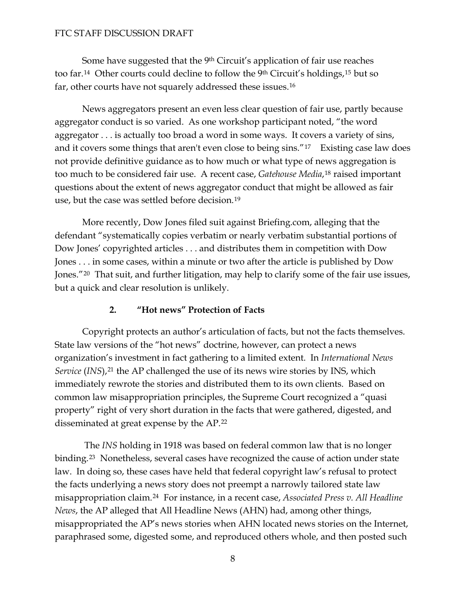Some have suggested that the 9<sup>th</sup> Circuit's application of fair use reaches too far.[14](#page-35-12) Other courts could decline to follow the 9th Circuit's holdings,[15](#page-35-13) but so far, other courts have not squarely addressed these issues.[16](#page-35-14)

News aggregators present an even less clear question of fair use, partly because aggregator conduct is so varied. As one workshop participant noted, "the word aggregator . . . is actually too broad a word in some ways. It covers a variety of sins, and it covers some things that aren't even close to being sins."[17](#page-36-0) Existing case law does not provide definitive guidance as to how much or what type of news aggregation is too much to be considered fair use. A recent case, *Gatehouse Media*,[18](#page-36-1) raised important questions about the extent of news aggregator conduct that might be allowed as fair use, but the case was settled before decision.[19](#page-36-2)

More recently, Dow Jones filed suit against Briefing.com, alleging that the defendant "systematically copies verbatim or nearly verbatim substantial portions of Dow Jones' copyrighted articles . . . and distributes them in competition with Dow Jones . . . in some cases, within a minute or two after the article is published by Dow Jones."<sup>[20](#page-36-3)</sup> That suit, and further litigation, may help to clarify some of the fair use issues, but a quick and clear resolution is unlikely.

## **2. "Hot news" Protection of Facts**

Copyright protects an author's articulation of facts, but not the facts themselves. State law versions of the "hot news" doctrine, however, can protect a news organization's investment in fact gathering to a limited extent. In *International News Service* (*INS*),<sup>[21](#page-36-4)</sup> the AP challenged the use of its news wire stories by INS, which immediately rewrote the stories and distributed them to its own clients. Based on common law misappropriation principles, the Supreme Court recognized a "quasi property" right of very short duration in the facts that were gathered, digested, and disseminated at great expense by the AP.[22](#page-36-5)

 The *INS* holding in 1918 was based on federal common law that is no longer binding.<sup>[23](#page-36-6)</sup> Nonetheless, several cases have recognized the cause of action under state law. In doing so, these cases have held that federal copyright law's refusal to protect the facts underlying a news story does not preempt a narrowly tailored state law misappropriation claim.[24](#page-36-7) For instance, in a recent case, *Associated Press v. All Headline News*, the AP alleged that All Headline News (AHN) had, among other things, misappropriated the AP's news stories when AHN located news stories on the Internet, paraphrased some, digested some, and reproduced others whole, and then posted such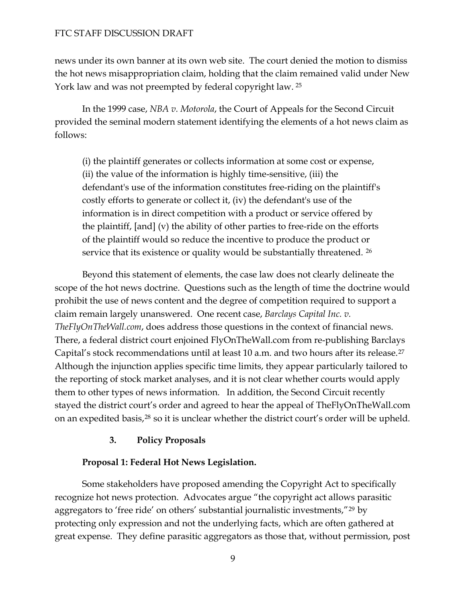news under its own banner at its own web site. The court denied the motion to dismiss the hot news misappropriation claim, holding that the claim remained valid under New York law and was not preempted by federal copyright law. [25](#page-36-8)

In the 1999 case, *NBA v. Motorola*, the Court of Appeals for the Second Circuit provided the seminal modern statement identifying the elements of a hot news claim as follows:

(i) the plaintiff generates or collects information at some cost or expense, (ii) the value of the information is highly time-sensitive, (iii) the defendant's use of the information constitutes free-riding on the plaintiff's costly efforts to generate or collect it, (iv) the defendant's use of the information is in direct competition with a product or service offered by the plaintiff, [and] (v) the ability of other parties to free-ride on the efforts of the plaintiff would so reduce the incentive to produce the product or service that its existence or quality would be substantially threatened. <sup>[26](#page-36-9)</sup>

Beyond this statement of elements, the case law does not clearly delineate the scope of the hot news doctrine. Questions such as the length of time the doctrine would prohibit the use of news content and the degree of competition required to support a claim remain largely unanswered. One recent case, *Barclays Capital Inc. v. TheFlyOnTheWall.com*, does address those questions in the context of financial news. There, a federal district court enjoined FlyOnTheWall.com from re-publishing Barclays Capital's stock recommendations until at least 10 a.m. and two hours after its release.[27](#page-36-10) Although the injunction applies specific time limits, they appear particularly tailored to the reporting of stock market analyses, and it is not clear whether courts would apply them to other types of news information. In addition, the Second Circuit recently stayed the district court's order and agreed to hear the appeal of TheFlyOnTheWall.com on an expedited basis,[28](#page-36-11) so it is unclear whether the district court's order will be upheld.

#### **3. Policy Proposals**

#### **Proposal 1: Federal Hot News Legislation.**

Some stakeholders have proposed amending the Copyright Act to specifically recognize hot news protection. Advocates argue "the copyright act allows parasitic aggregators to 'free ride' on others' substantial journalistic investments,"<sup>[29](#page-37-0)</sup> by protecting only expression and not the underlying facts, which are often gathered at great expense. They define parasitic aggregators as those that, without permission, post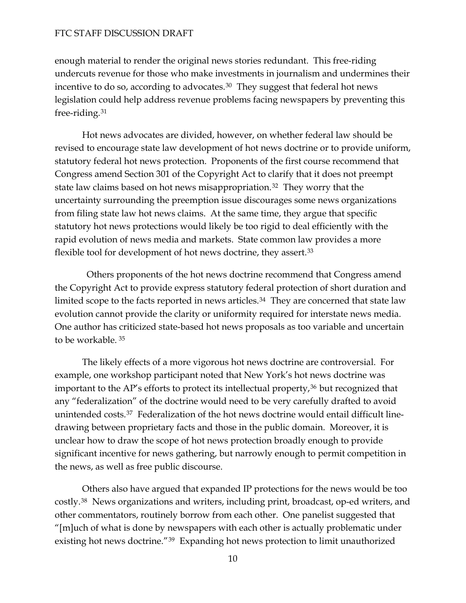enough material to render the original news stories redundant. This free-riding undercuts revenue for those who make investments in journalism and undermines their incentive to do so, according to advocates. [30](#page-37-1) They suggest that federal hot news legislation could help address revenue problems facing newspapers by preventing this free-riding.31

revised to encourage state law development of hot news doctrine or to provide uniform, Congress amend Section 301 of the Copyright Act to clarify that it does not preempt uncertainty surrounding the preemption issue discourages some news organizations rapid evolution of news media and markets. State common law provides a more flexible tool for development of hot news doctrine, they assert.<sup>33</sup> Hot news advocates are divided, however, on whether federal law should be statutory federal hot news protection. Proponents of the first course recommend that state law claims based on hot news misappropriation.[32](#page-37-2) They worry that the from filing state law hot news claims. At the same time, they argue that specific statutory hot news protections would likely be too rigid to deal efficiently with the

One author has criticized state-based hot news proposals as too variable and uncertain to be workable. <sup>35</sup> Others proponents of the hot news doctrine recommend that Congress amend the Copyright Act to provide express statutory federal protection of short duration and limited scope to the facts reported in news articles.<sup>[34](#page-37-3)</sup> They are concerned that state law evolution cannot provide the clarity or uniformity required for interstate news media.

[The likely effects of a more vigorous hot news doctrine are controversial. Fo](#page-37-4)r unintended costs.<sup>37</sup> Federalization of the hot news doctrine would entail difficult linethe news, as well as free public discourse. [example, one workshop participant noted that New York's hot news doctrine was](#page-37-4)  [important to the AP's efforts to protect its intellectual property,](#page-37-4)<sup>36</sup> but recognized that [any "federalization" of the doctrine would need to be very carefully drafted to avoid](#page-37-5)  [drawing between proprietary facts and those in the public domain. Moreover, it is](#page-37-5) [unclear how to draw the scope of hot news protection broadly enough to provide](#page-37-5)  [significant incentive for news gathering, but narrowly enough to permit competition in](#page-37-5) 

costly.<sup>[38](#page-37-6)</sup> News organizations and writers, including print, broadcast, op-ed writers, and " $[m]$ uch of what is done by newspapers with each other is actually problematic under Others also have argued that expanded IP protections for the news would be too other commentators, routinely borrow from each other. One panelist suggested that existing hot news doctrine."[39](#page-37-7) Expanding hot news protection to limit unauthorized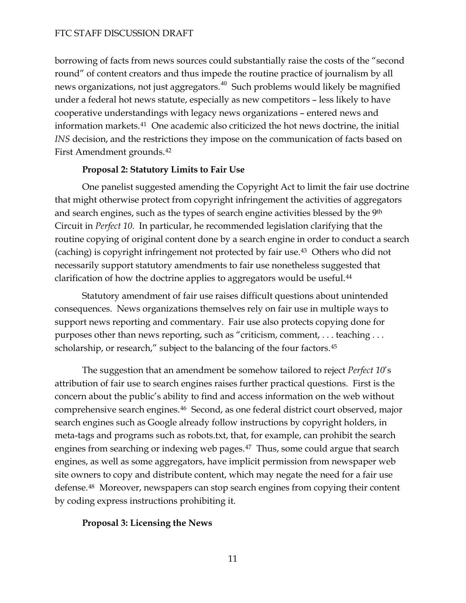borrowing of facts from news sources could substantially raise the costs of the "secon d round" of content creators and thus impede the routine practice of journalism by all news organizations, not just aggregators. $^{40}$  $^{40}$  $^{40}$  Such problems would likely be magnified under a federal hot news statute, especially as new competitors - less likely to have INS decision, and the restrictions they impose on the communication of facts based on First A mendment grounds.42 cooperative understandings with legacy news organizations – entered news and information markets.[41](#page-37-9) One academic also criticized the hot news doctrine, the initial

### **Proposal 2: Statutory Limits to Fair Use**

that might otherwise protect from copyright infringement the activities of aggregators routine copying of original content done by a search engine in order to conduct a search (caching) is copyright infringement not protected by fair use. $43$  Others who did not necessarily support statutory amendments to fair use nonetheless suggested that clarific ation of how the doctrine applies to aggregators would be useful[.44](#page-38-0) One panelist suggested amending the Copyright Act to limit the fair use doctrine and search engines, such as the types of search engine activities blessed by the 9th Circuit in *Perfect 10*. In particular, he recommended legislation clarifying that the

[purposes other than news reporting, such as "criticism, comment, . . . tea](#page-38-0)ching . . . scholarship, or research," subject to the balancing of the four factors.<sup>45</sup> [Statutory amendment of fair use raises difficult questions about unintended](#page-38-0)  [consequences. News organizations themselves rely on fair use in multiple ways to](#page-38-0) [support news reporting and commentary. Fair use also protects copying done for](#page-38-0) 

comprehensive search engines.<sup>[46](#page-38-1)</sup> Second, as one federal district court observed, major defense.<sup>[48](#page-38-2)</sup> Moreover, newspapers can stop search engines from copying their content by coding express instructions prohibiting it. The suggestion that an amendment be somehow tailored to reject *Perfect 10*'s attribution of fair use to search engines raises further practical questions. First is the concern about the public's ability to find and access information on the web without search engines such as Google already follow instructions by copyright holders, in meta-tags and programs such as robots.txt, that, for example, can prohibit the search engines from searching or indexing web pages.<sup>[47](#page-38-2)</sup> Thus, some could argue that search engines, as well as some aggregators, have implicit permission from newspaper web site owners to copy and distribute content, which may negate the need for a fair use

#### **Proposal 3: Licensing the News**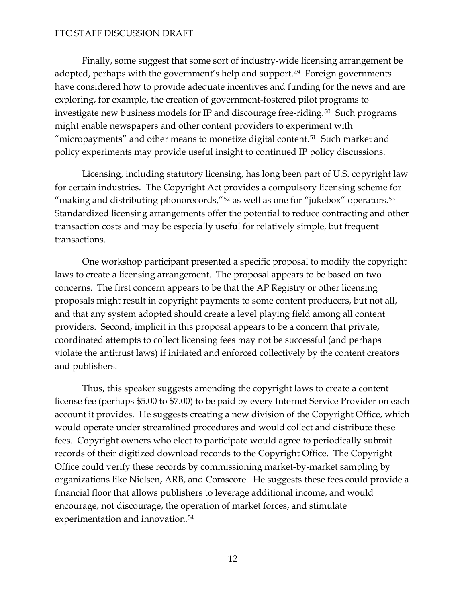Finally, some suggest that some sort of industry-wide licensing arrangement be adopted, perhaps with the government's help and support.<sup>[49](#page-38-3)</sup> Foreign governments have considered how to provide adequate incentives and funding for the news and are exploring, for example, the creation of government-fostered pilot programs to investigate new business models for IP and discourage free-riding.<sup>[50](#page-38-4)</sup> Such programs might enable newspapers and other content providers to experiment with "micropayments" and other means to monetize digital content.<sup>[51](#page-38-5)</sup> Such market and policy experiments may provide useful insight to continued IP policy discussions.

Licensing, including statutory licensing, has long been part of U.S. copyright law for certain industries. The Copyright Act provides a compulsory licensing scheme for "making and distributing phonorecords," $52$  as well as one for "jukebox" operators. $53$ Standardized licensing arrangements offer the potential to reduce contracting and other transaction costs and may be especially useful for relatively simple, but frequent transactions.

 One workshop participant presented a specific proposal to modify the copyright laws to create a licensing arrangement. The proposal appears to be based on two concerns. The first concern appears to be that the AP Registry or other licensing proposals might result in copyright payments to some content producers, but not all, and that any system adopted should create a level playing field among all content providers. Second, implicit in this proposal appears to be a concern that private, coordinated attempts to collect licensing fees may not be successful (and perhaps violate the antitrust laws) if initiated and enforced collectively by the content creators and publishers.

Thus, this speaker suggests amending the copyright laws to create a content license fee (perhaps \$5.00 to \$7.00) to be paid by every Internet Service Provider on each account it provides. He suggests creating a new division of the Copyright Office, which would operate under streamlined procedures and would collect and distribute these fees. Copyright owners who elect to participate would agree to periodically submit records of their digitized download records to the Copyright Office. The Copyright Office could verify these records by commissioning market-by-market sampling by organizations like Nielsen, ARB, and Comscore. He suggests these fees could provide a financial floor that allows publishers to leverage additional income, and would encourage, not discourage, the operation of market forces, and stimulate experimentation and innovation.[54](#page-38-8)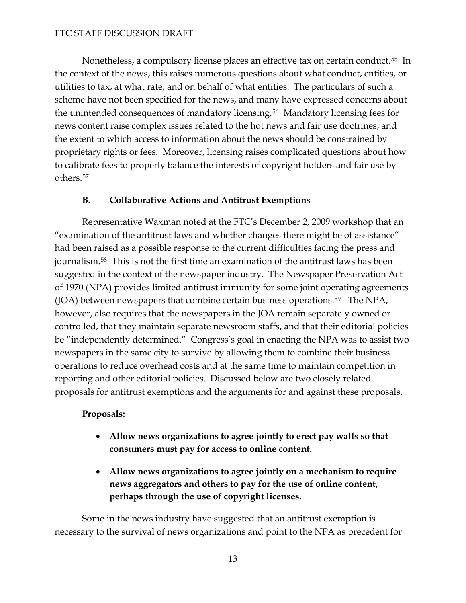Nonetheless, a compulsory license places an effective tax on certain conduct.<sup>[55](#page-38-9)</sup> In the context of the news, this raises numerous questions about what conduct, entities, or utilities to tax, at what rate, and on behalf of what entities. The particulars of such a scheme have not been specified for the news, and many have expressed concerns about the unintended consequences of mandatory licensing.[56](#page-38-10) Mandatory licensing fees for news content raise complex issues related to the hot news and fair use doctrines, and the extent to which access to information about the news should be constrained by proprietary rights or fees. Moreover, licensing raises complicated questions about how to calibrate fees to properly balance the interests of copyright holders and fair use by others.[57](#page-38-11)

## **B. Collaborative Actions and Antitrust Exemptions**

 Representative Waxman noted at the FTC's December 2, 2009 workshop that an "examination of the antitrust laws and whether changes there might be of assistance" had been raised as a possible response to the current difficulties facing the press and journalism.[58](#page-38-12) This is not the first time an examination of the antitrust laws has been suggested in the context of the newspaper industry. The Newspaper Preservation Act of 1970 (NPA) provides limited antitrust immunity for some joint operating agreements (JOA) between newspapers that combine certain business operations.<sup>[59](#page-38-13)</sup> The NPA, however, also requires that the newspapers in the JOA remain separately owned or controlled, that they maintain separate newsroom staffs, and that their editorial policies be "independently determined." Congress's goal in enacting the NPA was to assist two newspapers in the same city to survive by allowing them to combine their business operations to reduce overhead costs and at the same time to maintain competition in reporting and other editorial policies. Discussed below are two closely related proposals for antitrust exemptions and the arguments for and against these proposals.

## **Proposals:**

- **Allow news organizations to agree jointly to erect pay walls so that consumers must pay for access to online content.**
- **Allow news organizations to agree jointly on a mechanism to require news aggregators and others to pay for the use of online content, perhaps through the use of copyright licenses.**

 Some in the news industry have suggested that an antitrust exemption is necessary to the survival of news organizations and point to the NPA as precedent for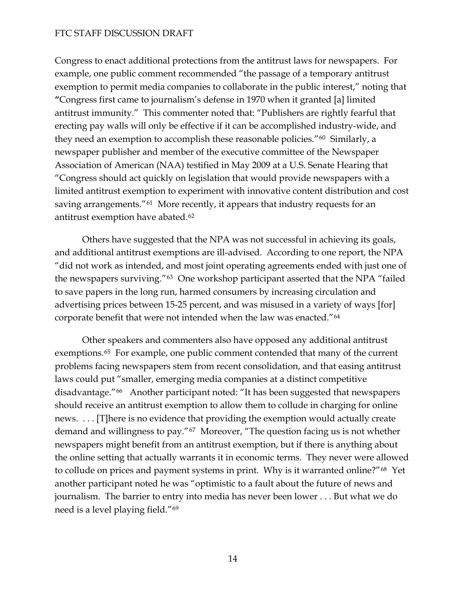Congress to enact additional protections from the antitrust laws for newspapers. For example, one public comment recommended "the passage of a temporary antitrust exemption to permit media companies to collaborate in the public interest," noting that **"**Congress first came to journalism's defense in 1970 when it granted [a] limited antitrust immunity." This commenter noted that: "Publishers are rightly fearful that erecting pay walls will only be effective if it can be accomplished industry-wide, and they need an exemption to accomplish these reasonable policies."<sup>[60](#page-38-14)</sup> Similarly, a newspaper publisher and member of the executive committee of the Newspaper Association of American (NAA) testified in May 2009 at a U.S. Senate Hearing that "Congress should act quickly on legislation that would provide newspapers with a limited antitrust exemption to experiment with innovative content distribution and cost saving arrangements."<sup>[61](#page-38-15)</sup> More recently, it appears that industry requests for an antitrust exemption have abated.[62](#page-38-16)

 Others have suggested that the NPA was not successful in achieving its goals, and additional antitrust exemptions are ill-advised. According to one report, the NPA "did not work as intended, and most joint operating agreements ended with just one of the newspapers surviving."[63](#page-39-0) One workshop participant asserted that the NPA "failed to save papers in the long run, harmed consumers by increasing circulation and advertising prices between 15-25 percent, and was misused in a variety of ways [for] corporate benefit that were not intended when the law was enacted."[64](#page-39-1)

 Other speakers and commenters also have opposed any additional antitrust exemptions.<sup>[65](#page-39-2)</sup> For example, one public comment contended that many of the current problems facing newspapers stem from recent consolidation, and that easing antitrust laws could put "smaller, emerging media companies at a distinct competitive disadvantage."[66](#page-39-3) Another participant noted: "It has been suggested that newspapers should receive an antitrust exemption to allow them to collude in charging for online news. . . . [T]here is no evidence that providing the exemption would actually create demand and willingness to pay."[67](#page-39-4) Moreover, "The question facing us is not whether newspapers might benefit from an antitrust exemption, but if there is anything about the online setting that actually warrants it in economic terms. They never were allowed to collude on prices and payment systems in print. Why is it warranted online?"[68](#page-39-5) Yet another participant noted he was "optimistic to a fault about the future of news and journalism. The barrier to entry into media has never been lower . . . But what we do need is a level playing field."[69](#page-39-6)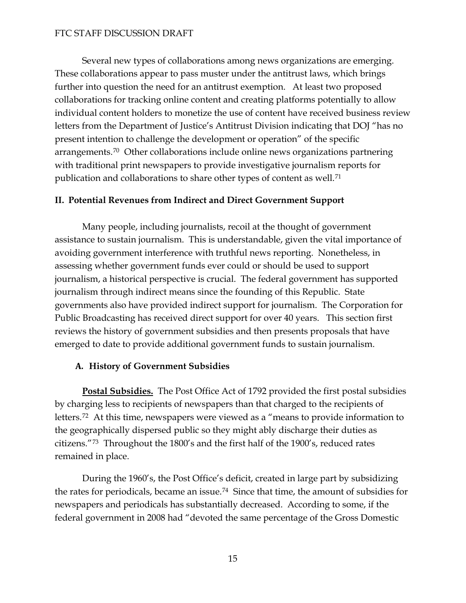Several new types of collaborations among news organizations are emerging. These collaborations appear to pass muster under the antitrust laws, which brings further into question the need for an antitrust exemption. At least two proposed collaborations for tracking online content and creating platforms potentially to allow individual content holders to monetize the use of content have received business review letters from the Department of Justice's Antitrust Division indicating that DOJ "has no present intention to challenge the development or operation" of the specific arrangements.[70](#page-39-7) Other collaborations include online news organizations partnering with traditional print newspapers to provide investigative journalism reports for publication and collaborations to share other types of content as well.[71](#page-39-8)

### **II. Potential Revenues from Indirect and Direct Government Support**

Many people, including journalists, recoil at the thought of government assistance to sustain journalism. This is understandable, given the vital importance of avoiding government interference with truthful news reporting. Nonetheless, in assessing whether government funds ever could or should be used to support journalism, a historical perspective is crucial. The federal government has supported journalism through indirect means since the founding of this Republic. State governments also have provided indirect support for journalism. The Corporation for Public Broadcasting has received direct support for over 40 years. This section first reviews the history of government subsidies and then presents proposals that have emerged to date to provide additional government funds to sustain journalism.

## **A. History of Government Subsidies**

**Postal Subsidies.** The Post Office Act of 1792 provided the first postal subsidies by charging less to recipients of newspapers than that charged to the recipients of letters.[72](#page-39-9) At this time, newspapers were viewed as a "means to provide information to the geographically dispersed public so they might ably discharge their duties as citizens."[73](#page-40-0) Throughout the 1800's and the first half of the 1900's, reduced rates remained in place.

 During the 1960's, the Post Office's deficit, created in large part by subsidizing the rates for periodicals, became an issue.[74](#page-40-1) Since that time, the amount of subsidies for newspapers and periodicals has substantially decreased. According to some, if the federal government in 2008 had "devoted the same percentage of the Gross Domestic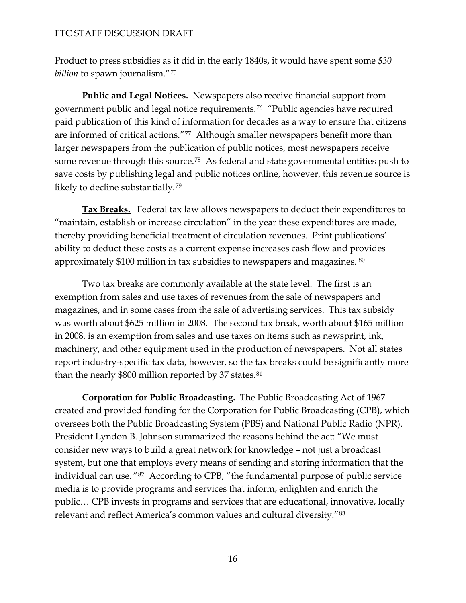Product to press subsidies as it did in the early 1840s, it would have spent some *\$30 billion* to spawn journalism."[75](#page-40-2)

**Public and Legal Notices.** Newspapers also receive financial support from government public and legal notice requirements.[76](#page-40-3) "Public agencies have required paid publication of this kind of information for decades as a way to ensure that citizens are informed of critical actions."<sup>[77](#page-40-4)</sup> Although smaller newspapers benefit more than larger newspapers from the publication of public notices, most newspapers receive some revenue through this source.<sup>[78](#page-40-5)</sup> As federal and state governmental entities push to save costs by publishing legal and public notices online, however, this revenue source is likely to decline substantially.[79](#page-40-6)

**Tax Breaks.** Federal tax law allows newspapers to deduct their expenditures to "maintain, establish or increase circulation" in the year these expenditures are made, thereby providing beneficial treatment of circulation revenues. Print publications' ability to deduct these costs as a current expense increases cash flow and provides approximately \$100 million in tax subsidies to newspapers and magazines. [80](#page-40-7)

 Two tax breaks are commonly available at the state level. The first is an exemption from sales and use taxes of revenues from the sale of newspapers and magazines, and in some cases from the sale of advertising services. This tax subsidy was worth about \$625 million in 2008. The second tax break, worth about \$165 million in 2008, is an exemption from sales and use taxes on items such as newsprint, ink, machinery, and other equipment used in the production of newspapers. Not all states report industry-specific tax data, however, so the tax breaks could be significantly more than the nearly \$800 million reported by 37 states.<sup>[81](#page-40-8)</sup>

**Corporation for Public Broadcasting.** The Public Broadcasting Act of 1967 created and provided funding for the Corporation for Public Broadcasting (CPB), which oversees both the Public Broadcasting System (PBS) and National Public Radio (NPR). President Lyndon B. Johnson summarized the reasons behind the act: "We must consider new ways to build a great network for knowledge – not just a broadcast system, but one that employs every means of sending and storing information that the individual can use. "[82](#page-40-9) According to CPB, "the fundamental purpose of public service media is to provide programs and services that inform, enlighten and enrich the public… CPB invests in programs and services that are educational, innovative, locally relevant and reflect America's common values and cultural diversity."[83](#page-40-10)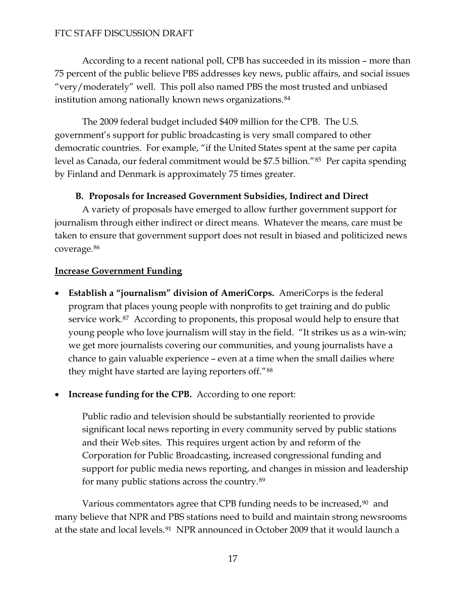According to a recent national poll, CPB has succeeded in its mission – more than 75 percent of the public believe PBS addresses key news, public affairs, and social issues "very/moderately" well. This poll also named PBS the most trusted and unbiased institution among nationally known news organizations.<sup>[84](#page-40-11)</sup>

 The 2009 federal budget included \$409 million for the CPB. The U.S. government's support for public broadcasting is very small compared to other democratic countries. For example, "if the United States spent at the same per capita level as Canada, our federal commitment would be \$7.5 billion."[85](#page-40-12) Per capita spending by Finland and Denmark is approximately 75 times greater.

## **B. Proposals for Increased Government Subsidies, Indirect and Direct**

A variety of proposals have emerged to allow further government support for journalism through either indirect or direct means. Whatever the means, care must be taken to ensure that government support does not result in biased and politicized news coverage.[86](#page-40-13)

## **Increase Government Funding**

- **Establish a "journalism" division of AmeriCorps.** AmeriCorps is the federal program that places young people with nonprofits to get training and do public service work.<sup>[87](#page-40-14)</sup> According to proponents, this proposal would help to ensure that young people who love journalism will stay in the field. "It strikes us as a win-win; we get more journalists covering our communities, and young journalists have a chance to gain valuable experience – even at a time when the small dailies where they might have started are laying reporters off."[88](#page-40-15)
- **Increase funding for the CPB.** According to one report:

Public radio and television should be substantially reoriented to provide significant local news reporting in every community served by public stations and their Web sites. This requires urgent action by and reform of the Corporation for Public Broadcasting, increased congressional funding and support for public media news reporting, and changes in mission and leadership for many public stations across the country.[89](#page-40-16)

Various commentators agree that CPB funding needs to be increased,<sup>[90](#page-40-17)</sup> and many believe that NPR and PBS stations need to build and maintain strong newsrooms at the state and local levels.<sup>[91](#page-41-0)</sup> NPR announced in October 2009 that it would launch a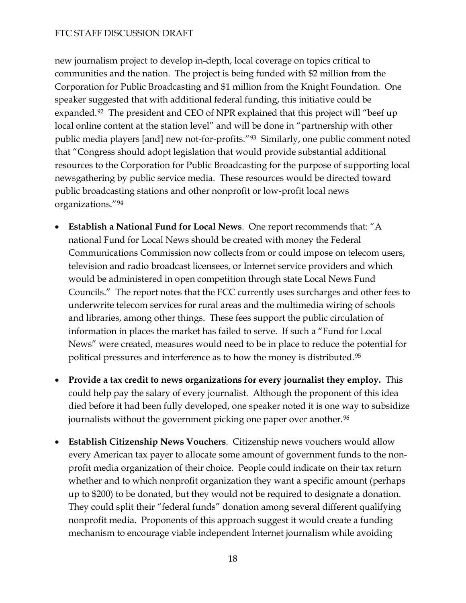new journalism project to develop in-depth, local coverage on topics critical to communities and the nation. The project is being funded with \$2 million from the Corporation for Public Broadcasting and \$1 million from the Knight Foundation. One speaker suggested that with additional federal funding, this initiative could be expanded.<sup>[92](#page-41-1)</sup> The president and CEO of NPR explained that this project will "beef up local online content at the station level" and will be done in "partnership with other public media players [and] new not-for-profits."[93](#page-41-2) Similarly, one public comment noted that "Congress should adopt legislation that would provide substantial additional resources to the Corporation for Public Broadcasting for the purpose of supporting local newsgathering by public service media. These resources would be directed toward public broadcasting stations and other nonprofit or low-profit local news organizations."[94](#page-41-3)

- **Establish a National Fund for Local News**. One report recommends that: "A national Fund for Local News should be created with money the Federal Communications Commission now collects from or could impose on telecom users, television and radio broadcast licensees, or Internet service providers and which would be administered in open competition through state Local News Fund Councils." The report notes that the FCC currently uses surcharges and other fees to underwrite telecom services for rural areas and the multimedia wiring of schools and libraries, among other things. These fees support the public circulation of information in places the market has failed to serve. If such a "Fund for Local News" were created, measures would need to be in place to reduce the potential for political pressures and interference as to how the money is distributed.[95](#page-41-4)
- **Provide a tax credit to news organizations for every journalist they employ.** This could help pay the salary of every journalist. Although the proponent of this idea died before it had been fully developed, one speaker noted it is one way to subsidize journalists without the government picking one paper over another.<sup>[96](#page-41-5)</sup>
- **Establish Citizenship News Vouchers**. Citizenship news vouchers would allow every American tax payer to allocate some amount of government funds to the nonprofit media organization of their choice. People could indicate on their tax return whether and to which nonprofit organization they want a specific amount (perhaps up to \$200) to be donated, but they would not be required to designate a donation. They could split their "federal funds" donation among several different qualifying nonprofit media. Proponents of this approach suggest it would create a funding mechanism to encourage viable independent Internet journalism while avoiding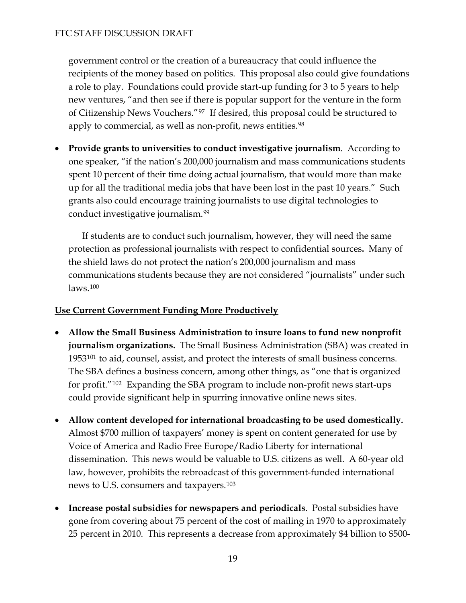government control or the creation of a bureaucracy that could influence the recipients of the money based on politics. This proposal also could give foundations a role to play. Foundations could provide start-up funding for 3 to 5 years to help new ventures, "and then see if there is popular support for the venture in the form of Citizenship News Vouchers."97 If desired, this proposal could be structured to apply to commercial, as well as non-profit, news entities.<sup>98</sup>

 **Provide grants to universities to conduct investigative journalism**. According to one speaker, "if the nation's 200,000 journalism and mass communications students spent 10 percent of their time doing actual journalism, that would more than make up for all the traditional media jobs that have been lost in the past 10 years." Such grants also could encourage training journalists to use digital technologies to conduct investigative journalism.[99](#page-41-6)

 If students are to conduct such journalism, however, they will need the same protection as professional journalists with respect to confidential sources**.** Many of the shield laws do not protect the nation's 200,000 journalism and mass communications students because they are not considered "journalists" under such laws.[100](#page-41-7)

# **Use Current Government Funding More Productively**

- **Allow the Small Business Administration to insure loans to fund new nonprofit journalism organizations.** The Small Business Administration (SBA) was created in 1953<sup>[101](#page-41-8)</sup> to aid, counsel, assist, and protect the interests of small business concerns. The SBA defines a business concern, among other things, as "one that is organized for profit."[102](#page-41-9) Expanding the SBA program to include non-profit news start-ups could provide significant help in spurring innovative online news sites.
- **Allow content developed for international broadcasting to be used domestically.**  Almost \$700 million of taxpayers' money is spent on content generated for use by Voice of America and Radio Free Europe/Radio Liberty for international dissemination. This news would be valuable to U.S. citizens as well. A 60-year old law, however, prohibits the rebroadcast of this government-funded international news to U.S. consumers and taxpayers.[103](#page-41-10)
- **Increase postal subsidies for newspapers and periodicals**. Postal subsidies have gone from covering about 75 percent of the cost of mailing in 1970 to approximately 25 percent in 2010. This represents a decrease from approximately \$4 billion to \$500-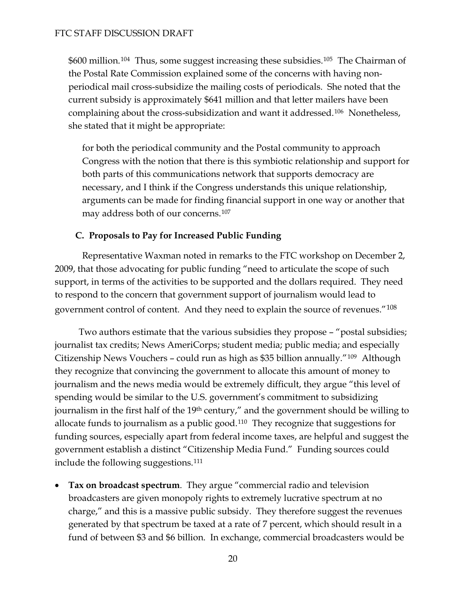\$600 million.104 Thus, some suggest increasing these subsidies.105 The Chairman of the Postal Rate Commission explained some of the concerns with having nonperiodical mail cross-subsidize the mailing costs of periodicals. She noted that the current subsidy is approximately \$641 million and that letter mailers have been complaining about the cross-subsidization and want it addressed.106 Nonetheless, she stated that it might be appropriate:

for both the periodical community and the Postal community to approach Congress with the notion that there is this symbiotic relationship and support for both parts of this communications network that supports democracy are necessary, and I think if the Congress understands this unique relationship, arguments can be made for finding financial support in one way or another that may address both of our concerns.[107](#page-41-11)

### **C. Proposals to Pay for Increased Public Funding**

Representative Waxman noted in remarks to the FTC workshop on December 2, 2009, that those advocating for public funding "need to articulate the scope of such support, in terms of the activities to be supported and the dollars required. They need to respond to the concern that government support of journalism would lead to government control of content. And they need to explain the source of revenues."[108](#page-41-12)

 Two authors estimate that the various subsidies they propose – "postal subsidies; journalist tax credits; News AmeriCorps; student media; public media; and especially Citizenship News Vouchers – could run as high as \$35 billion annually."[109](#page-41-13) Although they recognize that convincing the government to allocate this amount of money to journalism and the news media would be extremely difficult, they argue "this level of spending would be similar to the U.S. government's commitment to subsidizing journalism in the first half of the 19<sup>th</sup> century," and the government should be willing to allocate funds to journalism as a public good.[110](#page-41-14) They recognize that suggestions for funding sources, especially apart from federal income taxes, are helpful and suggest the government establish a distinct "Citizenship Media Fund." Funding sources could include the following suggestions.[111](#page-41-15)

 **Tax on broadcast spectrum**. They argue "commercial radio and television broadcasters are given monopoly rights to extremely lucrative spectrum at no charge," and this is a massive public subsidy. They therefore suggest the revenues generated by that spectrum be taxed at a rate of 7 percent, which should result in a fund of between \$3 and \$6 billion. In exchange, commercial broadcasters would be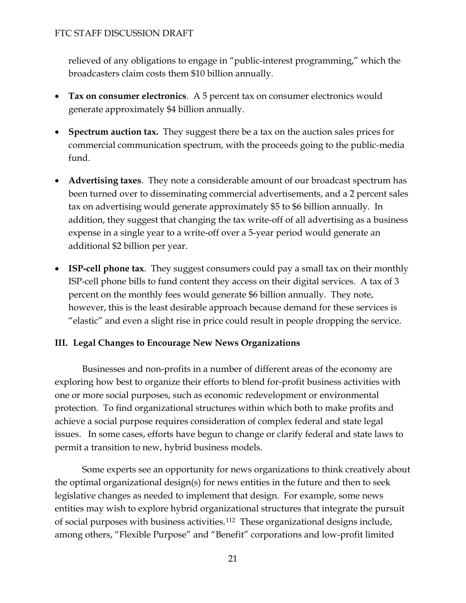relieved of any obligations to engage in "public-interest programming," which the broadcasters claim costs them \$10 billion annually.

- **Tax on consumer electronics**. A 5 percent tax on consumer electronics would generate approximately \$4 billion annually.
- **Spectrum auction tax.** They suggest there be a tax on the auction sales prices for commercial communication spectrum, with the proceeds going to the public-media fund.
- **Advertising taxes**. They note a considerable amount of our broadcast spectrum has been turned over to disseminating commercial advertisements, and a 2 percent sales tax on advertising would generate approximately \$5 to \$6 billion annually. In addition, they suggest that changing the tax write-off of all advertising as a business expense in a single year to a write-off over a 5-year period would generate an additional \$2 billion per year.
- **ISP-cell phone tax**. They suggest consumers could pay a small tax on their monthly ISP-cell phone bills to fund content they access on their digital services. A tax of 3 percent on the monthly fees would generate \$6 billion annually. They note, however, this is the least desirable approach because demand for these services is "elastic" and even a slight rise in price could result in people dropping the service.

# **III. Legal Changes to Encourage New News Organizations**

Businesses and non-profits in a number of different areas of the economy are exploring how best to organize their efforts to blend for-profit business activities with one or more social purposes, such as economic redevelopment or environmental protection. To find organizational structures within which both to make profits and achieve a social purpose requires consideration of complex federal and state legal issues. In some cases, efforts have begun to change or clarify federal and state laws to permit a transition to new, hybrid business models.

Some experts see an opportunity for news organizations to think creatively about the optimal organizational design(s) for news entities in the future and then to seek legislative changes as needed to implement that design. For example, some news entities may wish to explore hybrid organizational structures that integrate the pursuit of social purposes with business activities.[112](#page-41-16) These organizational designs include, among others, "Flexible Purpose" and "Benefit" corporations and low-profit limited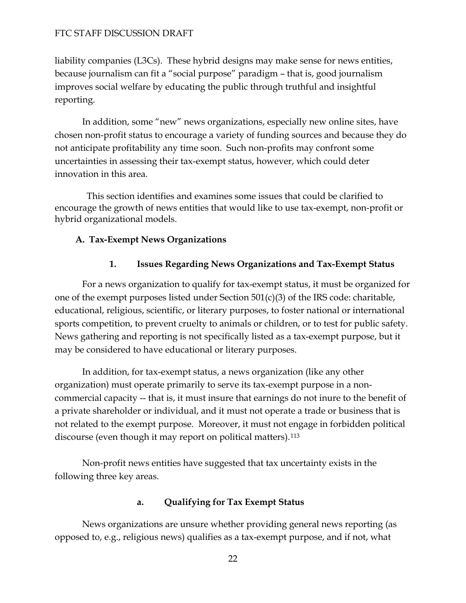liability companies (L3Cs). These hybrid designs may make sense for news entities, because journalism can fit a "social purpose" paradigm – that is, good journalism improves social welfare by educating the public through truthful and insightful reporting.

In addition, some "new" news organizations, especially new online sites, have chosen non-profit status to encourage a variety of funding sources and because they do not anticipate profitability any time soon. Such non-profits may confront some uncertainties in assessing their tax-exempt status, however, which could deter innovation in this area.

 This section identifies and examines some issues that could be clarified to encourage the growth of news entities that would like to use tax-exempt, non-profit or hybrid organizational models.

## **A. Tax-Exempt News Organizations**

## **1. Issues Regarding News Organizations and Tax-Exempt Status**

For a news organization to qualify for tax-exempt status, it must be organized for one of the exempt purposes listed under Section 501(c)(3) of the IRS code: charitable, educational, religious, scientific, or literary purposes, to foster national or international sports competition, to prevent cruelty to animals or children, or to test for public safety. News gathering and reporting is not specifically listed as a tax-exempt purpose, but it may be considered to have educational or literary purposes.

In addition, for tax-exempt status, a news organization (like any other organization) must operate primarily to serve its tax-exempt purpose in a noncommercial capacity -- that is, it must insure that earnings do not inure to the benefit of a private shareholder or individual, and it must not operate a trade or business that is not related to the exempt purpose. Moreover, it must not engage in forbidden political discourse (even though it may report on political matters).<sup>[113](#page-41-17)</sup>

Non-profit news entities have suggested that tax uncertainty exists in the following three key areas.

## **a. Qualifying for Tax Exempt Status**

News organizations are unsure whether providing general news reporting (as opposed to, e.g., religious news) qualifies as a tax-exempt purpose, and if not, what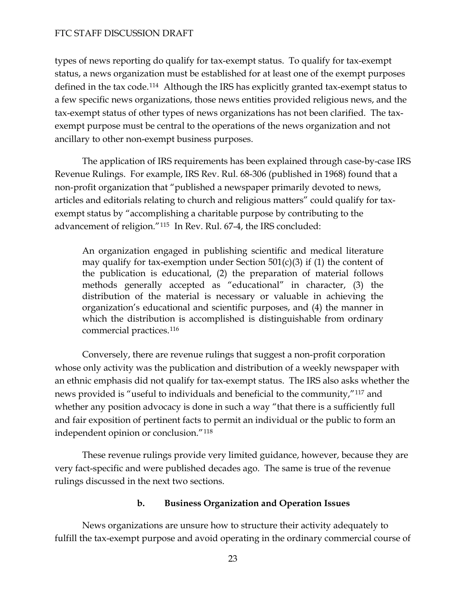types of news reporting do qualify for tax-exempt status. To qualify for tax-exempt status, a news organization must be established for at least one of the exempt purposes defined in the tax code.<sup>[114](#page-41-18)</sup> Although the IRS has explicitly granted tax-exempt status to a few specific news organizations, those news entities provided religious news, and the tax-exempt status of other types of news organizations has not been clarified. The taxexempt purpose must be central to the operations of the news organization and not ancillary to other non-exempt business purposes.

The application of IRS requirements has been explained through case-by-case IRS Revenue Rulings. For example, IRS Rev. Rul. 68-306 (published in 1968) found that a non-profit organization that "published a newspaper primarily devoted to news, articles and editorials relating to church and religious matters" could qualify for taxexempt status by "accomplishing a charitable purpose by contributing to the advancement of religion."[115](#page-42-0) In Rev. Rul. 67-4, the IRS concluded:

An organization engaged in publishing scientific and medical literature may qualify for tax-exemption under Section  $501(c)(3)$  if (1) the content of the publication is educational, (2) the preparation of material follows methods generally accepted as "educational" in character, (3) the distribution of the material is necessary or valuable in achieving the organization's educational and scientific purposes, and (4) the manner in which the distribution is accomplished is distinguishable from ordinary commercial practices.[116](#page-42-1)

Conversely, there are revenue rulings that suggest a non-profit corporation whose only activity was the publication and distribution of a weekly newspaper with an ethnic emphasis did not qualify for tax-exempt status. The IRS also asks whether the news provided is "useful to individuals and beneficial to the community,"[117](#page-42-2) and whether any position advocacy is done in such a way "that there is a sufficiently full and fair exposition of pertinent facts to permit an individual or the public to form an independent opinion or conclusion."[118](#page-42-3)

These revenue rulings provide very limited guidance, however, because they are very fact-specific and were published decades ago. The same is true of the revenue rulings discussed in the next two sections.

#### **b. Business Organization and Operation Issues**

News organizations are unsure how to structure their activity adequately to fulfill the tax-exempt purpose and avoid operating in the ordinary commercial course of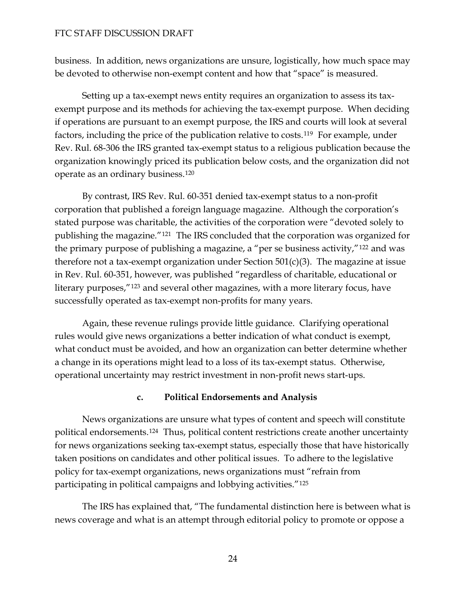business. In addition, news organizations are unsure, logistically, how much space may be devoted to otherwise non-exempt content and how that "space" is measured.

Setting up a tax-exempt news entity requires an organization to assess its taxexempt purpose and its methods for achieving the tax-exempt purpose. When deciding if operations are pursuant to an exempt purpose, the IRS and courts will look at several factors, including the price of the publication relative to costs.[119](#page-42-4) For example, under Rev. Rul. 68-306 the IRS granted tax-exempt status to a religious publication because the organization knowingly priced its publication below costs, and the organization did not operate as an ordinary business.[120](#page-42-5)

By contrast, IRS Rev. Rul. 60-351 denied tax-exempt status to a non-profit corporation that published a foreign language magazine. Although the corporation's stated purpose was charitable, the activities of the corporation were "devoted solely to publishing the magazine."[121](#page-42-6) The IRS concluded that the corporation was organized for the primary purpose of publishing a magazine, a "per se business activity,"[122](#page-42-7) and was therefore not a tax-exempt organization under Section  $501(c)(3)$ . The magazine at issue in Rev. Rul. 60-351, however, was published "regardless of charitable, educational or literary purposes,"[123](#page-42-8) and several other magazines, with a more literary focus, have successfully operated as tax-exempt non-profits for many years.

Again, these revenue rulings provide little guidance. Clarifying operational rules would give news organizations a better indication of what conduct is exempt, what conduct must be avoided, and how an organization can better determine whether a change in its operations might lead to a loss of its tax-exempt status. Otherwise, operational uncertainty may restrict investment in non-profit news start-ups.

#### **c. Political Endorsements and Analysis**

News organizations are unsure what types of content and speech will constitute political endorsements.[124](#page-42-9) Thus, political content restrictions create another uncertainty for news organizations seeking tax-exempt status, especially those that have historically taken positions on candidates and other political issues. To adhere to the legislative policy for tax-exempt organizations, news organizations must "refrain from participating in political campaigns and lobbying activities."[125](#page-42-10)

The IRS has explained that, "The fundamental distinction here is between what is news coverage and what is an attempt through editorial policy to promote or oppose a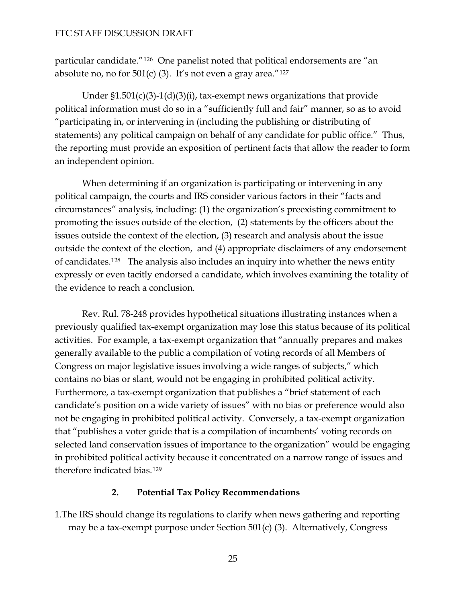particular candidate."[126](#page-42-11) One panelist noted that political endorsements are "an absolute no, no for  $501(c)$  (3). It's not even a gray area."<sup>[127](#page-42-12)</sup>

Under  $$1.501(c)(3)-1(d)(3)(i)$ , tax-exempt news organizations that provide political information must do so in a "sufficiently full and fair" manner, so as to avoid "participating in, or intervening in (including the publishing or distributing of statements) any political campaign on behalf of any candidate for public office." Thus, the reporting must provide an exposition of pertinent facts that allow the reader to form an independent opinion.

When determining if an organization is participating or intervening in any political campaign, the courts and IRS consider various factors in their "facts and circumstances" analysis, including: (1) the organization's preexisting commitment to promoting the issues outside of the election, (2) statements by the officers about the issues outside the context of the election, (3) research and analysis about the issue outside the context of the election, and (4) appropriate disclaimers of any endorsement of candidates.[128](#page-42-13) The analysis also includes an inquiry into whether the news entity expressly or even tacitly endorsed a candidate, which involves examining the totality of the evidence to reach a conclusion.

 Rev. Rul. 78-248 provides hypothetical situations illustrating instances when a previously qualified tax-exempt organization may lose this status because of its political activities. For example, a tax-exempt organization that "annually prepares and makes generally available to the public a compilation of voting records of all Members of Congress on major legislative issues involving a wide ranges of subjects," which contains no bias or slant, would not be engaging in prohibited political activity. Furthermore, a tax-exempt organization that publishes a "brief statement of each candidate's position on a wide variety of issues" with no bias or preference would also not be engaging in prohibited political activity. Conversely, a tax-exempt organization that "publishes a voter guide that is a compilation of incumbents' voting records on selected land conservation issues of importance to the organization" would be engaging in prohibited political activity because it concentrated on a narrow range of issues and therefore indicated bias.[129](#page-42-14)

#### **2. Potential Tax Policy Recommendations**

1.The IRS should change its regulations to clarify when news gathering and reporting may be a tax-exempt purpose under Section 501(c) (3). Alternatively, Congress

25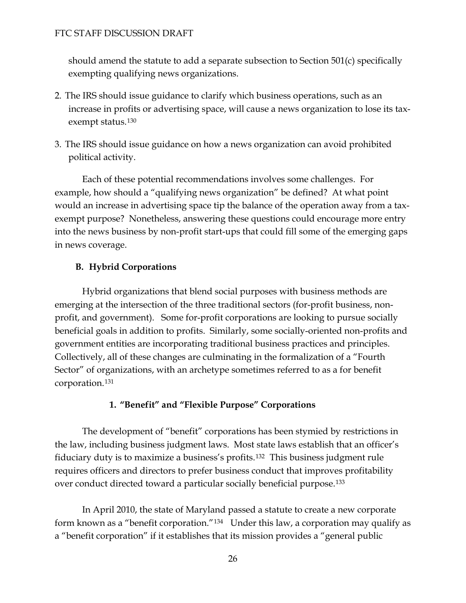should amend the statute to add a separate subsection to Section 501(c) specifically exempting qualifying news organizations.

- 2. The IRS should issue guidance to clarify which business operations, such as an increase in profits or advertising space, will cause a news organization to lose its tax-exempt status.<sup>[130](#page-42-15)</sup>
- 3. The IRS should issue guidance on how a news organization can avoid prohibited political activity.

Each of these potential recommendations involves some challenges. For example, how should a "qualifying news organization" be defined? At what point would an increase in advertising space tip the balance of the operation away from a taxexempt purpose? Nonetheless, answering these questions could encourage more entry into the news business by non-profit start-ups that could fill some of the emerging gaps in news coverage.

# **B. Hybrid Corporations**

Hybrid organizations that blend social purposes with business methods are emerging at the intersection of the three traditional sectors (for-profit business, nonprofit, and government). Some for-profit corporations are looking to pursue socially beneficial goals in addition to profits. Similarly, some socially-oriented non-profits and government entities are incorporating traditional business practices and principles. Collectively, all of these changes are culminating in the formalization of a "Fourth Sector" of organizations, with an archetype sometimes referred to as a for benefit corporation.[131](#page-42-16)

# **1. "Benefit" and "Flexible Purpose" Corporations**

The development of "benefit" corporations has been stymied by restrictions in the law, including business judgment laws. Most state laws establish that an officer's fiduciary duty is to maximize a business's profits.[132](#page-42-17) This business judgment rule requires officers and directors to prefer business conduct that improves profitability over conduct directed toward a particular socially beneficial purpose.[133](#page-42-18)

In April 2010, the state of Maryland passed a statute to create a new corporate form known as a "benefit corporation."[134](#page-42-19) Under this law, a corporation may qualify as a "benefit corporation" if it establishes that its mission provides a "general public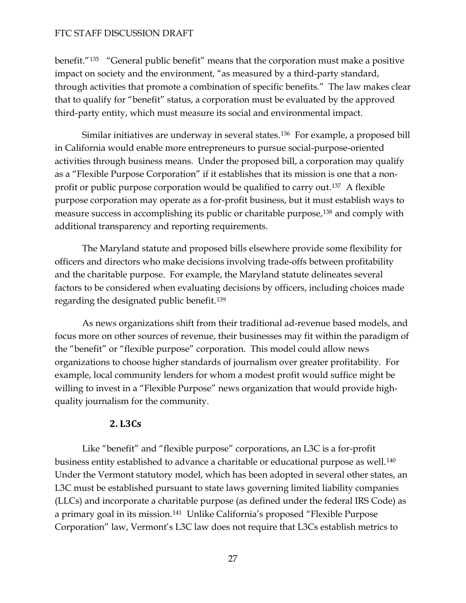benefit."[135](#page-42-20) "General public benefit" means that the corporation must make a positive impact on society and the environment, "as measured by a third-party standard, through activities that promote a combination of specific benefits." The law makes clear that to qualify for "benefit" status, a corporation must be evaluated by the approved third-party entity, which must measure its social and environmental impact.

Similar initiatives are underway in several states.[136](#page-42-21) For example, a proposed bill in California would enable more entrepreneurs to pursue social-purpose-oriented activities through business means. Under the proposed bill, a corporation may qualify as a "Flexible Purpose Corporation" if it establishes that its mission is one that a nonprofit or public purpose corporation would be qualified to carry out.[137](#page-42-22) A flexible purpose corporation may operate as a for-profit business, but it must establish ways to measure success in accomplishing its public or charitable purpose,<sup>[138](#page-42-23)</sup> and comply with additional transparency and reporting requirements.

The Maryland statute and proposed bills elsewhere provide some flexibility for officers and directors who make decisions involving trade-offs between profitability and the charitable purpose. For example, the Maryland statute delineates several factors to be considered when evaluating decisions by officers, including choices made regarding the designated public benefit.[139](#page-43-0)

As news organizations shift from their traditional ad-revenue based models, and focus more on other sources of revenue, their businesses may fit within the paradigm of the "benefit" or "flexible purpose" corporation. This model could allow news organizations to choose higher standards of journalism over greater profitability. For example, local community lenders for whom a modest profit would suffice might be willing to invest in a "Flexible Purpose" news organization that would provide highquality journalism for the community.

#### **2. L3Cs**

 Like "benefit" and "flexible purpose" corporations, an L3C is a for-profit business entity established to advance a charitable or educational purpose as well.<sup>[140](#page-43-1)</sup> Under the Vermont statutory model, which has been adopted in several other states, an L3C must be established pursuant to state laws governing limited liability companies (LLCs) and incorporate a charitable purpose (as defined under the federal IRS Code) as a primary goal in its mission.[141](#page-43-2) Unlike California's proposed "Flexible Purpose Corporation" law, Vermont's L3C law does not require that L3Cs establish metrics to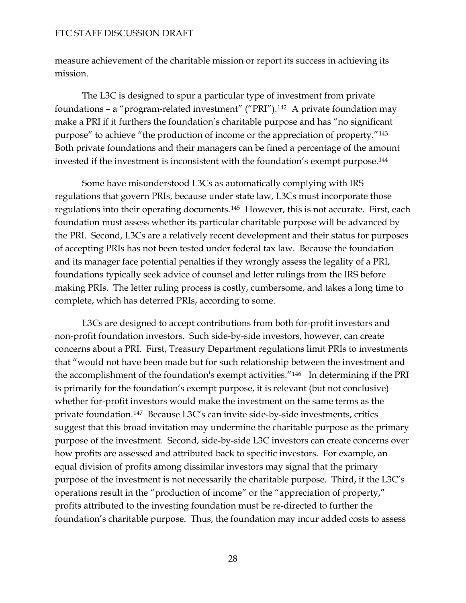measure achievement of the charitable mission or report its success in achieving its mission.

The L3C is designed to spur a particular type of investment from private foundations – a "program-related investment" ("PRI").[142](#page-43-3) A private foundation may make a PRI if it furthers the foundation's charitable purpose and has "no significant purpose" to achieve "the production of income or the appreciation of property."[143](#page-43-4) Both private foundations and their managers can be fined a percentage of the amount invested if the investment is inconsistent with the foundation's exempt purpose.[144](#page-43-5)

Some have misunderstood L3Cs as automatically complying with IRS regulations that govern PRIs, because under state law, L3Cs must incorporate those regulations into their operating documents.[145](#page-43-6) However, this is not accurate. First, each foundation must assess whether its particular charitable purpose will be advanced by the PRI. Second, L3Cs are a relatively recent development and their status for purposes of accepting PRIs has not been tested under federal tax law. Because the foundation and its manager face potential penalties if they wrongly assess the legality of a PRI, foundations typically seek advice of counsel and letter rulings from the IRS before making PRIs. The letter ruling process is costly, cumbersome, and takes a long time to complete, which has deterred PRIs, according to some.

L3Cs are designed to accept contributions from both for-profit investors and non-profit foundation investors. Such side-by-side investors, however, can create concerns about a PRI. First, Treasury Department regulations limit PRIs to investments that "would not have been made but for such relationship between the investment and the accomplishment of the foundation's exempt activities."<sup>[146](#page-44-0)</sup> In determining if the PRI is primarily for the foundation's exempt purpose, it is relevant (but not conclusive) whether for-profit investors would make the investment on the same terms as the private foundation.[147](#page-44-1) Because L3C's can invite side-by-side investments, critics suggest that this broad invitation may undermine the charitable purpose as the p rimary purpose of the investment. Second, side-by-side L3C investors can create concerns over how profits are assessed and attributed back to specific investors. For example, an equal division of profits among dissimilar investors may signal that the primary purpose of the investment is not necessarily the charitable purpose. Third, if the L3C's operations result in the "production of income" or the "appreciation of property," profits attributed to the investing foundation must be re-directed to further the foundation's charitable purpose. Thus, the foundation may incur added costs to assess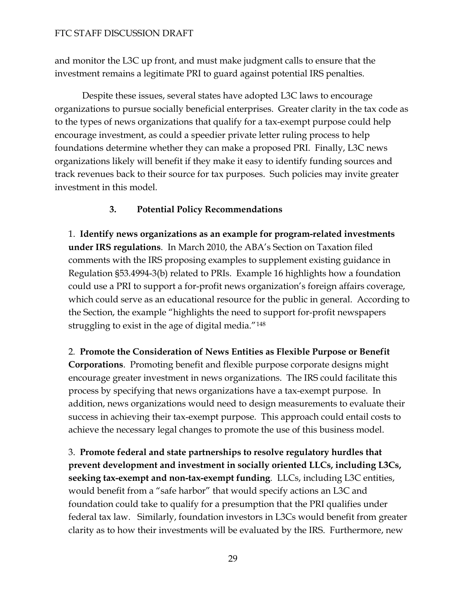and monitor the L3C up front, and must make judgment calls to ensure that the investment remains a legitimate PRI to guard against potential IRS penalties.

Despite these issues, several states have adopted L3C laws to encourage organizations to pursue socially beneficial enterprises. Greater clarity in the tax code as to the types of news organizations that qualify for a tax-exempt purpose could help encourage investment, as could a speedier private letter ruling process to help foundations determine whether they can make a proposed PRI. Finally, L3C news organizations likely will benefit if they make it easy to identify funding sources and track revenues back to their source for tax purposes. Such policies may invite greater investment in this model.

# **3. Potential Policy Recommendations**

1. **Identify news organizations as an example for program-related investments under IRS regulations**. In March 2010, the ABA's Section on Taxation filed comments with the IRS proposing examples to supplement existing guidance in Regulation §53.4994-3(b) related to PRIs. Example 16 highlights how a foundation could use a PRI to support a for-profit news organization's foreign affairs coverage, which could serve as an educational resource for the public in general. According to the Section, the example "highlights the need to support for-profit newspapers struggling to exist in the age of digital media."[148](#page-44-2)

2*.* **Promote the Consideration of News Entities as Flexible Purpose or Benefit Corporations**. Promoting benefit and flexible purpose corporate designs might encourage greater investment in news organizations. The IRS could facilitate this process by specifying that news organizations have a tax-exempt purpose. In addition, news organizations would need to design measurements to evaluate their success in achieving their tax-exempt purpose. This approach could entail costs to achieve the necessary legal changes to promote the use of this business model.

3. **Promote federal and state partnerships to resolve regulatory hurdles that prevent development and investment in socially oriented LLCs, including L3Cs, seeking tax-exempt and non-tax-exempt funding***.* LLCs, including L3C entities, would benefit from a "safe harbor" that would specify actions an L3C and foundation could take to qualify for a presumption that the PRI qualifies under federal tax law. Similarly, foundation investors in L3Cs would benefit from greater clarity as to how their investments will be evaluated by the IRS. Furthermore, new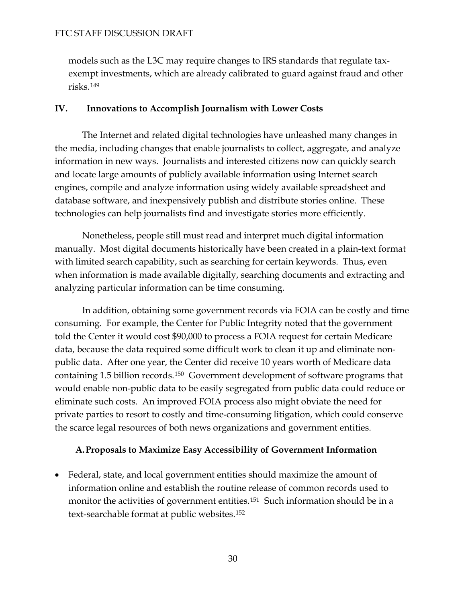models such as the L3C may require changes to IRS standards that regulate taxexempt investments, which are already calibrated to guard against fraud and other risks.[149](#page-44-3)

## **IV. Innovations to Accomplish Journalism with Lower Costs**

 The Internet and related digital technologies have unleashed many changes in the media, including changes that enable journalists to collect, aggregate, and analyze information in new ways. Journalists and interested citizens now can quickly search and locate large amounts of publicly available information using Internet search engines, compile and analyze information using widely available spreadsheet and database software, and inexpensively publish and distribute stories online. These technologies can help journalists find and investigate stories more efficiently.

Nonetheless, people still must read and interpret much digital information manually. Most digital documents historically have been created in a plain-text format with limited search capability, such as searching for certain keywords. Thus, even when information is made available digitally, searching documents and extracting and analyzing particular information can be time consuming.

 In addition, obtaining some government records via FOIA can be costly and time consuming. For example, the Center for Public Integrity noted that the government told the Center it would cost \$90,000 to process a FOIA request for certain Medicare data, because the data required some difficult work to clean it up and eliminate nonpublic data. After one year, the Center did receive 10 years worth of Medicare data containing 1.5 billion records.[150](#page-44-4) Government development of software programs that would enable non-public data to be easily segregated from public data could reduce or eliminate such costs. An improved FOIA process also might obviate the need for private parties to resort to costly and time-consuming litigation, which could conserve the scarce legal resources of both news organizations and government entities.

#### **A.Proposals to Maximize Easy Accessibility of Government Information**

 Federal, state, and local government entities should maximize the amount of information online and establish the routine release of common records used to monitor the activities of government entities.<sup>[151](#page-44-5)</sup> Such information should be in a text-searchable format at public websites.[152](#page-44-6)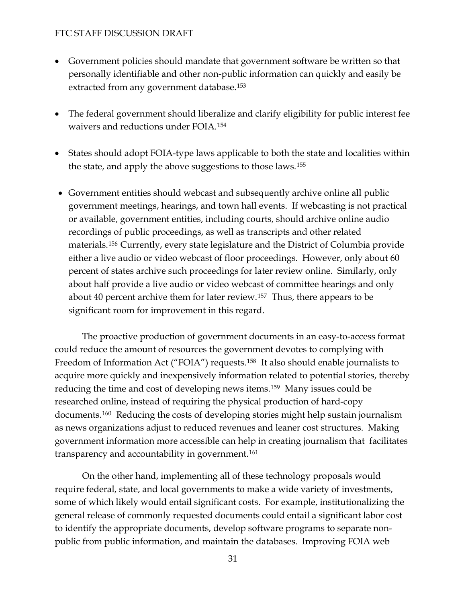- Government policies should mandate that government software be written so that personally identifiable and other non-public information can quickly and easily be extracted from any government database.<sup>[153](#page-44-7)</sup>
- The federal government should liberalize and clarify eligibility for public interest fee waivers and reductions under FOIA.[154](#page-44-8)
- States should adopt FOIA-type laws applicable to both the state and localities within the state, and apply the above suggestions to those laws.[155](#page-45-0)
- Government entities should webcast and subsequently archive online all public government meetings, hearings, and town hall events. If webcasting is not practical or available, government entities, including courts, should archive online audio recordings of public proceedings, as well as transcripts and other related materials.[156](#page-45-1) Currently, every state legislature and the District of Columbia provide either a live audio or video webcast of floor proceedings. However, only about 60 percent of states archive such proceedings for later review online. Similarly, only about half provide a live audio or video webcast of committee hearings and only about 40 percent archive them for later review.[157](#page-45-2) Thus, there appears to be significant room for improvement in this regard.

 The proactive production of government documents in an easy-to-access format could reduce the amount of resources the government devotes to complying with Freedom of Information Act ("FOIA") requests.<sup>[158](#page-45-3)</sup> It also should enable journalists to acquire more quickly and inexpensively information related to potential stories, thereby reducing the time and cost of developing news items.[159](#page-45-4) Many issues could be researched online, instead of requiring the physical production of hard-copy documents.[160](#page-45-5) Reducing the costs of developing stories might help sustain journalism as news organizations adjust to reduced revenues and leaner cost structures. Making government information more accessible can help in creating journalism that facilitates transparency and accountability in government.<sup>[161](#page-45-6)</sup>

 On the other hand, implementing all of these technology proposals would require federal, state, and local governments to make a wide variety of investments, some of which likely would entail significant costs. For example, institutionalizing the general release of commonly requested documents could entail a significant labor cost to identify the appropriate documents, develop software programs to separate nonpublic from public information, and maintain the databases. Improving FOIA web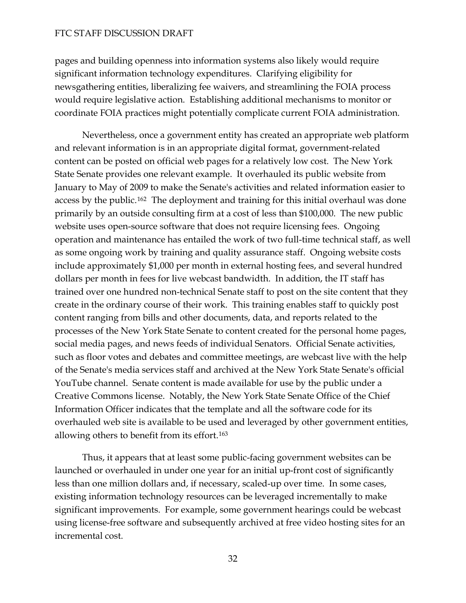pages and building openness into information systems also likely would require significant information technology expenditures. Clarifying eligibility for newsgathering entities, liberalizing fee waivers, and streamlining the FOIA process would require legislative action. Establishing additional mechanisms to monitor or coordinate FOIA practices might potentially complicate current FOIA administration.

 Nevertheless, once a government entity has created an appropriate web platform and relevant information is in an appropriate digital format, government-related content can be posted on official web pages for a relatively low cost. The New York State Senate provides one relevant example. It overhauled its public website from January to May of 2009 to make the Senate's activities and related information easier to access by the public.[162](#page-45-7) The deployment and training for this initial overhaul was done primarily by an outside consulting firm at a cost of less than \$100,000. The new public website uses open-source software that does not require licensing fees. Ongoing operation and maintenance has entailed the work of two full-time technical staff, as well as some ongoing work by training and quality assurance staff. Ongoing website costs include approximately \$1,000 per month in external hosting fees, and several hundred dollars per month in fees for live webcast bandwidth. In addition, the IT staff has trained over one hundred non-technical Senate staff to post on the site content that they create in the ordinary course of their work. This training enables staff to quickly post content ranging from bills and other documents, data, and reports related to the processes of the New York State Senate to content created for the personal home pages, social media pages, and news feeds of individual Senators. Official Senate activities, such as floor votes and debates and committee meetings, are webcast live with the help of the Senate's media services staff and archived at the New York State Senate's official YouTube channel. Senate content is made available for use by the public under a Creative Commons license. Notably, the New York State Senate Office of the Chief Information Officer indicates that the template and all the software code for its overhauled web site is available to be used and leveraged by other government entities, allowing others to benefit from its effort.[163](#page-45-8)

Thus, it appears that at least some public-facing government websites can be launched or overhauled in under one year for an initial up-front cost of significantly less than one million dollars and, if necessary, scaled-up over time. In some cases, existing information technology resources can be leveraged incrementally to make significant improvements. For example, some government hearings could be webcast using license-free software and subsequently archived at free video hosting sites for an incremental cost.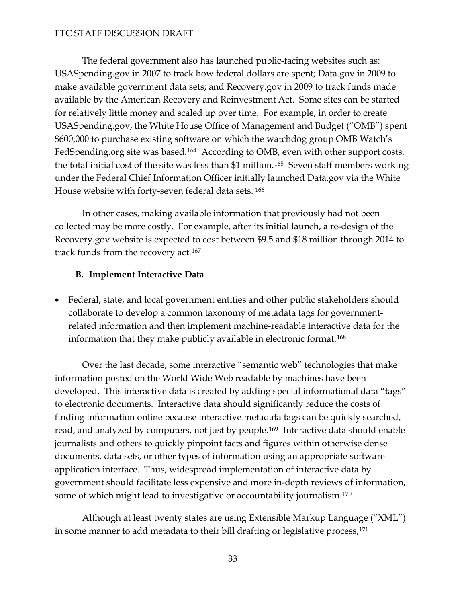The federal government also has launched public-facing websites such as: USASpending.gov in 2007 to track how federal dollars are spent; Data.gov in 2009 to make available government data sets; and Recovery.gov in 2009 to track funds made available by the American Recovery and Reinvestment Act. Some sites can be started for relatively little money and scaled up over time. For example, in order to create USASpending.gov, the White House Office of Management and Budget ("OMB") spent \$600,000 to purchase existing software on which the watchdog group OMB Watch's FedSpending.org site was based.<sup>[164](#page-45-9)</sup> According to OMB, even with other support costs, the total initial cost of the site was less than \$1 million.[165](#page-45-10) Seven staff members working under the Federal Chief Information Officer initially launched Data.gov via the White House website with forty-seven federal data sets. [166](#page-45-11)

In other cases, making available information that previously had not been collected may be more costly. For example, after its initial launch, a re-design of the Recovery.gov website is expected to cost between \$9.5 and \$18 million through 2014 to track funds from the recovery act.[167](#page-45-12)

#### **B. Implement Interactive Data**

 Federal, state, and local government entities and other public stakeholders should collaborate to develop a common taxonomy of metadata tags for governmentrelated information and then implement machine-readable interactive data for the information that they make publicly available in electronic format.[168](#page-46-0)

Over the last decade, some interactive "semantic web" technologies that make information posted on the World Wide Web readable by machines have been developed. This interactive data is created by adding special informational data "tags" to electronic documents. Interactive data should significantly reduce the costs of finding information online because interactive metadata tags can be quickly searched, read, and analyzed by computers, not just by people.<sup>[169](#page-46-1)</sup> Interactive data should enable journalists and others to quickly pinpoint facts and figures within otherwise dense documents, data sets, or other types of information using an appropriate software application interface. Thus, widespread implementation of interactive data by government should facilitate less expensive and more in-depth reviews of information, some of which might lead to investigative or accountability journalism.<sup>[170](#page-46-2)</sup>

 Although at least twenty states are using Extensible Markup Language ("XML") in some manner to add metadata to their bill drafting or legislative process,[171](#page-46-3)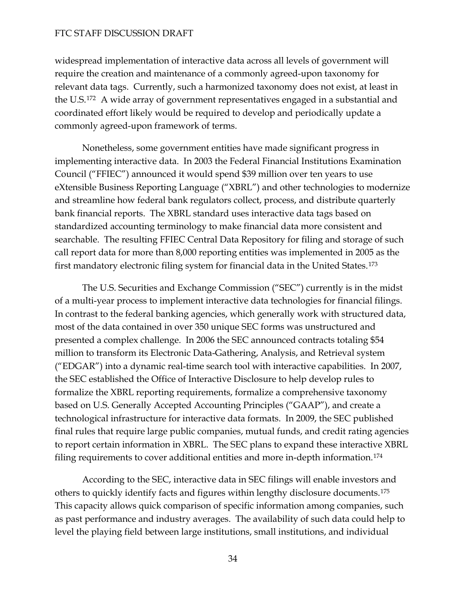widespread implementation of interactive data across all levels of government will require the creation and maintenance of a commonly agreed-upon taxonomy for relevant data tags. Currently, such a harmonized taxonomy does not exist, at least in the U.S.[172](#page-46-4) A wide array of government representatives engaged in a substantial and coordinated effort likely would be required to develop and periodically update a commonly agreed-upon framework of terms.

 Nonetheless, some government entities have made significant progress in implementing interactive data. In 2003 the Federal Financial Institutions Examination Council ("FFIEC") announced it would spend \$39 million over ten years to use eXtensible Business Reporting Language ("XBRL") and other technologies to modernize and streamline how federal bank regulators collect, process, and distribute quarterly bank financial reports. The XBRL standard uses interactive data tags based on standardized accounting terminology to make financial data more consistent and searchable. The resulting FFIEC Central Data Repository for filing and storage of such call report data for more than 8,000 reporting entities was implemented in 2005 as the first mandatory electronic filing system for financial data in the United States.[173](#page-46-5)

The U.S. Securities and Exchange Commission ("SEC") currently is in the midst of a multi-year process to implement interactive data technologies for financial filings. In contrast to the federal banking agencies, which generally work with structured data, most of the data contained in over 350 unique SEC forms was unstructured and presented a complex challenge. In 2006 the SEC announced contracts totaling \$54 million to transform its Electronic Data-Gathering, Analysis, and Retrieval system ("EDGAR") into a dynamic real-time search tool with interactive capabilities. In 2007, the SEC established the Office of Interactive Disclosure to help develop rules to formalize the XBRL reporting requirements, formalize a comprehensive taxonomy based on U.S. Generally Accepted Accounting Principles ("GAAP"), and create a technological infrastructure for interactive data formats. In 2009, the SEC published final rules that require large public companies, mutual funds, and credit rating agencies to report certain information in XBRL. The SEC plans to expand these interactive XBRL filing requirements to cover additional entities and more in-depth information.[174](#page-46-6)

According to the SEC, interactive data in SEC filings will enable investors and others to quickly identify facts and figures within lengthy disclosure documents.[175](#page-46-7) This capacity allows quick comparison of specific information among companies, such as past performance and industry averages. The availability of such data could help to level the playing field between large institutions, small institutions, and individual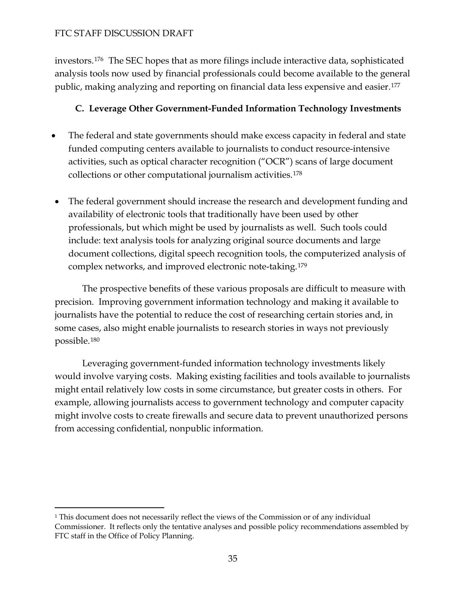investors.[176](#page-46-8) The SEC hopes that as more filings include interactive data, sophisticated analysis tools now used by financial professionals could become available to the general public, making analyzing and reporting on financial data less expensive and easier.[177](#page-46-9)

# **C. Leverage Other Government-Funded Information Technology Investments**

- The federal and state governments should make excess capacity in federal and state funded computing centers available to journalists to conduct resource-intensive activities, such as optical character recognition ("OCR") scans of large document collections or other computational journalism activities.[178](#page-46-10)
- The federal government should increase the research and development funding and availability of electronic tools that traditionally have been used by other professionals, but which might be used by journalists as well. Such tools could include: text analysis tools for analyzing original source documents and large document collections, digital speech recognition tools, the computerized analysis of complex networks, and improved electronic note-taking.[179](#page-46-11)

 The prospective benefits of these various proposals are difficult to measure with precision. Improving government information technology and making it available to journalists have the potential to reduce the cost of researching certain stories and, in some cases, also might enable journalists to research stories in ways not previously possible.[180](#page-46-12)

 Leveraging government-funded information technology investments likely would involve varying costs. Making existing facilities and tools available to journalists might entail relatively low costs in some circumstance, but greater costs in others. For example, allowing journalists access to government technology and computer capacity might involve costs to create firewalls and secure data to prevent unauthorized persons from accessing confidential, nonpublic information.

<span id="page-34-0"></span><sup>-</sup>1 This document does not necessarily reflect the views of the Commission or of any individual Commissioner. It reflects only the tentative analyses and possible policy recommendations assembled by FTC staff in the Office of Policy Planning.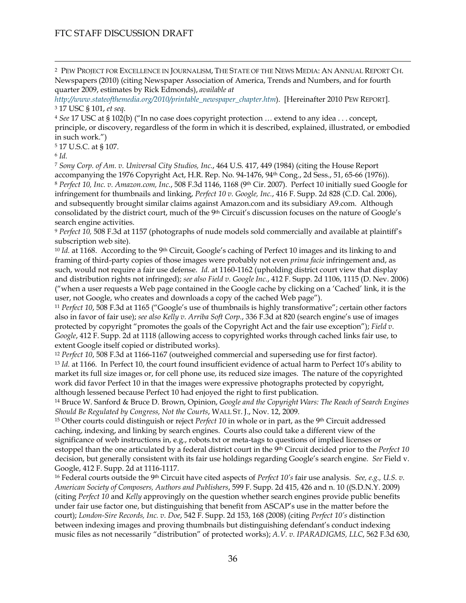<span id="page-35-0"></span> 2 PEW PROJECT FOR EXCELLENCE IN JOURNALISM, THE STATE OF THE NEWS MEDIA: AN ANNUAL REPORT CH. Newspapers (2010) (citing Newspaper Association of America, Trends and Numbers, and for fourth quarter 2009, estimates by Rick Edmonds), *available at* 

<span id="page-35-1"></span>*[http://www.stateofthemedia.org/2010/printable\\_newspaper\\_chapter.htm](http://www.stateofthemedia.org/2010/printable_newspaper_chapter.htm)*). [Hereinafter 2010 PEW REPORT]. 3 17 USC § 101, *et seq*. 4 *See* 17 USC at § 102(b) ("In no case does copyright protection … extend to any idea . . . concept,

<span id="page-35-2"></span>principle, or discovery, regardless of the form in which it is described, explained, illustrated, or embodied in such work.")

<span id="page-35-3"></span>5 17 U.S.C. at § 107.

<span id="page-35-4"></span><sup>6</sup> *Id.* 

<span id="page-35-6"></span><span id="page-35-5"></span><sup>7</sup> *Sony Corp. of Am. v. Universal City Studios, Inc.*, 464 U.S. 417, 449 (1984) (citing the House Report accompanying the 1976 Copyright Act, H.R. Rep. No. 94-1476, 94th Cong., 2d Sess., 51, 65-66 (1976)). <sup>8</sup> *Perfect 10, Inc. v. Amazon.com, Inc.*, 508 F.3d 1146, 1168 (9th Cir. 2007). Perfect 10 initially sued Google for infringement for thumbnails and linking, *Perfect 10 v. Google, Inc.*, 416 F. Supp. 2d 828 (C.D. Cal. 2006), and subsequently brought similar claims against Amazon.com and its subsidiary A9.com. Although consolidated by the district court, much of the 9th Circuit's discussion focuses on the nature of Google's search engine activities.

<span id="page-35-7"></span><sup>9</sup> *Perfect 10,* 508 F.3d at 1157 (photographs of nude models sold commercially and available at plaintiff's subscription web site).

<span id="page-35-8"></span><sup>10</sup> *Id.* at 1168. According to the 9<sup>th</sup> Circuit, Google's caching of Perfect 10 images and its linking to and framing of third-party copies of those images were probably not even *prima facie* infringement and, as such, would not require a fair use defense. *Id.* at 1160-1162 (upholding district court view that display and distribution rights not infringed); *see also Field v. Google Inc.*, 412 F. Supp. 2d 1106, 1115 (D. Nev. 2006) ("when a user requests a Web page contained in the Google cache by clicking on a 'Cached' link, it is the user, not Google, who creates and downloads a copy of the cached Web page").

<span id="page-35-9"></span><sup>11</sup> *Perfect 10*, 508 F.3d at 1165 ("Google's use of thumbnails is highly transformative"; certain other factors also in favor of fair use); *see also Kelly v. Arriba Soft Corp.*, 336 F.3d at 820 (search engine's use of images protected by copyright "promotes the goals of the Copyright Act and the fair use exception"); *Field v. Google*, 412 F. Supp. 2d at 1118 (allowing access to copyrighted works through cached links fair use, to extent Google itself copied or distributed works).

<span id="page-35-11"></span><span id="page-35-10"></span><sup>12</sup> *Perfect 10*, 508 F.3d at 1166-1167 (outweighed commercial and superseding use for first factor). <sup>13</sup> *Id.* at 1166. In Perfect 10, the court found insufficient evidence of actual harm to Perfect 10's ability to market its full size images or, for cell phone use, its reduced size images. The nature of the copyrighted work did favor Perfect 10 in that the images were expressive photographs protected by copyright, although lessened because Perfect 10 had enjoyed the right to first publication.

<span id="page-35-12"></span>14 Bruce W. Sanford & Bruce D. Brown, Opinion, *Google and the Copyright Wars: The Reach of Search Engines Should Be Regulated by Congress, Not the Courts*, WALL ST. J., Nov. 12, 2009.

<span id="page-35-13"></span>15 Other courts could distinguish or reject *Perfect 10* in whole or in part, as the 9th Circuit addressed caching, indexing, and linking by search engines. Courts also could take a different view of the significance of web instructions in, e.g., robots.txt or meta-tags to questions of implied licenses or estoppel than the one articulated by a federal district court in the 9th Circuit decided prior to the *Perfect 10* decision, but generally consistent with its fair use holdings regarding Google's search engine. *See* Field v. Google, 412 F. Supp. 2d at 1116-1117.

<span id="page-35-14"></span>16 Federal courts outside the 9th Circuit have cited aspects of *Perfect 10's* fair use analysis. *See, e.g., U.S. v. American Society of Composers, Authors and Publishers*, 599 F. Supp. 2d 415, 426 and n. 10 ((S.D.N.Y. 2009) (citing *Perfect 10* and *Kelly* approvingly on the question whether search engines provide public benefits under fair use factor one, but distinguishing that benefit from ASCAP's use in the matter before the court); *London-Sire Records, Inc. v. Doe*, 542 F. Supp. 2d 153, 168 (2008) (citing *Perfect 10's* distinction between indexing images and proving thumbnails but distinguishing defendant's conduct indexing music files as not necessarily "distribution" of protected works); *A.V. v. IPARADIGMS, LLC*, 562 F.3d 630,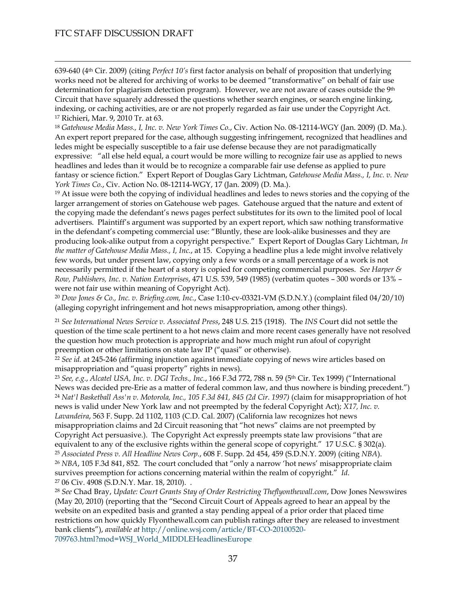$\overline{a}$ 

639-640 (4th Cir. 2009) (citing *Perfect 10's* first factor analysis on behalf of proposition that underlying works need not be altered for archiving of works to be deemed "transformative" on behalf of fair use determination for plagiarism detection program). However, we are not aware of cases outside the 9<sup>th</sup> Circuit that have squarely addressed the questions whether search engines, or search engine linking, indexing, or caching activities, are or are not properly regarded as fair use under the Copyright Act. 17 Richieri, Mar. 9, 2010 Tr. at 63.

<span id="page-36-1"></span><span id="page-36-0"></span><sup>18</sup> *Gatehouse Media Mass., I, Inc. v. New York Times Co.*, Civ. Action No. 08-12114-WGY (Jan. 2009) (D. Ma.). An expert report prepared for the case, although suggesting infringement, recognized that headlines and ledes might be especially susceptible to a fair use defense because they are not paradigmatically expressive: "all else held equal, a court would be more willing to recognize fair use as applied to news headlines and ledes than it would be to recognize a comparable fair use defense as applied to pure fantasy or science fiction." Expert Report of Douglas Gary Lichtman, *Gatehouse Media Mass., I, Inc. v. New York Times Co.*, Civ. Action No. 08-12114-WGY, 17 (Jan. 2009) (D. Ma.).

<span id="page-36-2"></span><sup>19</sup> At issue were both the copying of individual headlines and ledes to news stories and the copying of the larger arrangement of stories on Gatehouse web pages. Gatehouse argued that the nature and extent of the copying made the defendant's news pages perfect substitutes for its own to the limited pool of local advertisers. Plaintiff's argument was supported by an expert report, which saw nothing transformative in the defendant's competing commercial use: "Bluntly, these are look-alike businesses and they are producing look-alike output from a copyright perspective." Expert Report of Douglas Gary Lichtman, *In the matter of Gatehouse Media Mass., I, Inc.*, at 15. Copying a headline plus a lede might involve relatively few words, but under present law, copying only a few words or a small percentage of a work is not necessarily permitted if the heart of a story is copied for competing commercial purposes. *See Harper & Row, Publishers, Inc. v. Nation Enterprises*, 471 U.S. 539, 549 (1985) (verbatim quotes – 300 words or 13% – were not fair use within meaning of Copyright Act).

<span id="page-36-3"></span><sup>20</sup> *Dow Jones & Co., Inc. v. Briefing.com, Inc.*, Case 1:10-cv-03321-VM (S.D.N.Y.) (complaint filed 04/20/10) (alleging copyright infringement and hot news misappropriation, among other things).

<span id="page-36-4"></span><sup>21</sup> *See International News Service v. Associated Press*, 248 U.S. 215 (1918). The *INS* Court did not settle the question of the time scale pertinent to a hot news claim and more recent cases generally have not resolved the question how much protection is appropriate and how much might run afoul of copyright preemption or other limitations on state law IP ("quasi" or otherwise).

<span id="page-36-5"></span><sup>22</sup> *See id.* at 245-246 (affirming injunction against immediate copying of news wire articles based on misappropriation and "quasi property" rights in news).

<span id="page-36-7"></span><span id="page-36-6"></span><sup>23</sup> *See, e.g.*, *Alcatel USA, Inc. v. DGI Techs., Inc.*, 166 F.3d 772, 788 n. 59 (5th Cir. Tex 1999) ("International News was decided pre-Erie as a matter of federal common law, and thus nowhere is binding precedent.") <sup>24</sup> *Nat'l Basketball Ass'n v. Motorola, Inc., 105 F.3d 841, 845 (2d Cir. 1997)* (claim for misappropriation of hot news is valid under New York law and not preempted by the federal Copyright Act); *X17, Inc. v. Lavandeira*, 563 F. Supp. 2d 1102, 1103 (C.D. Cal. 2007) (California law recognizes hot news misappropriation claims and 2d Circuit reasoning that "hot news" claims are not preempted by Copyright Act persuasive.). The Copyright Act expressly preempts state law provisions "that are equivalent to any of the exclusive rights within the general scope of copyright." 17 U.S.C. § 302(a). <sup>25</sup> *Associated Press v. All Headline News Corp.*, 608 F. Supp. 2d 454, 459 (S.D.N.Y. 2009) (citing *NBA*). <sup>26</sup> *NBA*, 105 F.3d 841, 852. The court concluded that "only a narrow 'hot news' misappropriate claim survives preemption for actions concerning material within the realm of copyright." *Id*. 27 06 Civ. 4908 (S.D.N.Y. Mar. 18, 2010). .

<span id="page-36-11"></span><span id="page-36-10"></span><span id="page-36-9"></span><span id="page-36-8"></span><sup>28</sup> *See* Chad Bray, *Update: Court Grants Stay of Order Restricting Theflyonthewall.com*, Dow Jones Newswires (May 20, 2010) (reporting that the "Second Circuit Court of Appeals agreed to hear an appeal by the website on an expedited basis and granted a stay pending appeal of a prior order that placed time restrictions on how quickly Flyonthewall.com can publish ratings after they are released to investment bank clients"), *available at* [http://online.wsj.com/article/BT-CO-20100520-](http://online.wsj.com/article/BT-CO-20100520-709763.html?mod=WSJ_World_MIDDLEHeadlinesEurope) [709763.html?mod=WSJ\\_World\\_MIDDLEHeadlinesEurope](http://online.wsj.com/article/BT-CO-20100520-709763.html?mod=WSJ_World_MIDDLEHeadlinesEurope)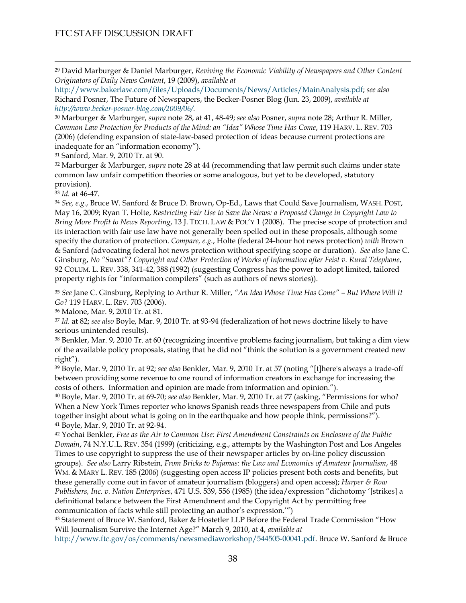<span id="page-37-0"></span> 29 David Marburger & Daniel Marburger, *Reviving the Economic Viability of Newspapers and Other Content Originators of Daily News Content*, 19 (2009), *available at*

[http://www.bakerlaw.com/files/Uploads/Documents/News/Articles/MainAnalysis.pdf;](http://www.bakerlaw.com/files/Uploads/Documents/News/Articles/MainAnalysis.pdf) *see also*  Richard Posner, The Future of Newspapers, the Becker-Posner Blog (Jun. 23, 2009), *available at [http://www.becker-posner-blog.com/2009/06/.](http://www.becker-posner-blog.com/2009/06/)* 

<span id="page-37-1"></span>30 Marburger & Marburger, *supra* note 28, at 41, 48-49; *see also* Posner, *supra* note 28; Arthur R. Miller, *Common Law Protection for Products of the Mind: an "Idea" Whose Time Has Come*, 119 HARV. L. REV. 703 (2006) (defending expansion of state-law-based protection of ideas because current protections are inadequate for an "information economy").

31 Sanford, Mar. 9, 2010 Tr. at 90.

32 Marburger & Marburger, *supra* note 28 at 44 (recommending that law permit such claims under state common law unfair competition theories or some analogous, but yet to be developed, statutory provision).

<span id="page-37-2"></span><sup>33</sup> *Id.* at 46-47.

<sup>34</sup> *See, e.g.*, Bruce W. Sanford & Bruce D. Brown, Op-Ed., Laws that Could Save Journalism, WASH. POST, May 16, 2009; Ryan T. Holte, *Restricting Fair Use to Save the News: a Proposed Change in Copyright Law to Bring More Profit to News Reporting*, 13 J. TECH. LAW & POL'Y 1 (2008). The precise scope of protection and its interaction with fair use law have not generally been spelled out in these proposals, although some specify the duration of protection. *Compare, e.g.*, Holte (federal 24-hour hot news protection) *with* Brown & Sanford (advocating federal hot news protection without specifying scope or duration). *See also* Jane C. Ginsburg, *No "Sweat"? Copyright and Other Protection of Works of Information after Feist v. Rural Telephone*, 92 COLUM. L. REV. 338, 341-42, 388 (1992) (suggesting Congress has the power to adopt limited, tailored property rights for "information compilers" (such as authors of news stories)).

<span id="page-37-3"></span><sup>35</sup> *See* Jane C. Ginsburg, Replying to Arthur R. Miller, *"An Idea Whose Time Has Come" – But Where Will It Go?* 119 HARV. L. REV. 703 (2006).

<span id="page-37-4"></span>36 Malone, Mar. 9, 2010 Tr. at 81.

<span id="page-37-5"></span><sup>37</sup> *Id.* at 82; *see also* Boyle, Mar. 9, 2010 Tr. at 93-94 (federalization of hot news doctrine likely to have serious unintended results).

<span id="page-37-6"></span>38 Benkler, Mar. 9, 2010 Tr. at 60 (recognizing incentive problems facing journalism, but taking a dim view of the available policy proposals, stating that he did not "think the solution is a government created new right").

<span id="page-37-7"></span>39 Boyle, Mar. 9, 2010 Tr. at 92; *see also* Benkler, Mar. 9, 2010 Tr. at 57 (noting "[t]here's always a trade-off between providing some revenue to one round of information creators in exchange for increasing the costs of others. Information and opinion are made from information and opinion.").

<span id="page-37-8"></span>40 Boyle, Mar. 9, 2010 Tr. at 69-70; *see also* Benkler, Mar. 9, 2010 Tr. at 77 (asking, "Permissions for who? When a New York Times reporter who knows Spanish reads three newspapers from Chile and puts together insight about what is going on in the earthquake and how people think, permissions?"). 41 Boyle, Mar. 9, 2010 Tr. at 92-94.

<span id="page-37-9"></span>42 Yochai Benkler, *Free as the Air to Common Use: First Amendment Constraints on Enclosure of the Public Domain*, 74 N.Y.U.L. REV. 354 (1999) (criticizing, e.g., attempts by the Washington Post and Los Angeles Times to use copyright to suppress the use of their newspaper articles by on-line policy discussion groups). *See also* Larry Ribstein, *From Bricks to Pajamas: the Law and Economics of Amateur Journalism*, 48 WM. & MARY L. REV. 185 (2006) (suggesting open access IP policies present both costs and benefits, but these generally come out in favor of amateur journalism (bloggers) and open access); *Harper & Row Publishers, Inc. v. Nation Enterprises*, 471 U.S. 539, 556 (1985) (the idea/expression "dichotomy '[strikes] a definitional balance between the First Amendment and the Copyright Act by permitting free communication of facts while still protecting an author's expression.'")

<span id="page-37-10"></span>43 Statement of Bruce W. Sanford, Baker & Hostetler LLP Before the Federal Trade Commission "How Will Journalism Survive the Internet Age?" March 9, 2010, at 4, *available at*

<http://www.ftc.gov/os/comments/newsmediaworkshop/544505-00041.pdf>. Bruce W. Sanford & Bruce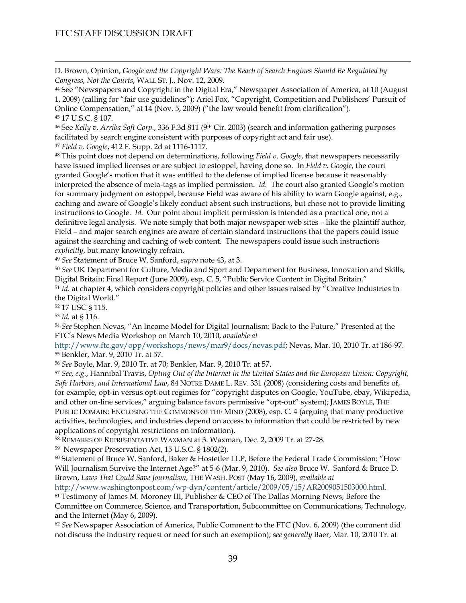D. Brown, Opinion, *Google and the Copyright Wars: The Reach of Search Engines Should Be Regulated by Congress, Not the Courts*, WALL ST. J., Nov. 12, 2009.

44 See "Newspapers and Copyright in the Digital Era," Newspaper Association of America, at 10 (August 1, 2009) (calling for "fair use guidelines"); Ariel Fox, "Copyright, Competition and Publishers' Pursuit of Online Compensation," at 14 (Nov. 5, 2009) ("the law would benefit from clarification"). 45 17 U.S.C. § 107.

<span id="page-38-0"></span>46 See *Kelly v. Arriba Soft Corp*., 336 F.3d 811 (9th Cir. 2003) (search and information gathering purposes facilitated by search engine consistent with purposes of copyright act and fair use).

<span id="page-38-1"></span><sup>47</sup> *Field v. Google*, 412 F. Supp. 2d at 1116-1117.

<span id="page-38-2"></span>48 This point does not depend on determinations, following *Field v. Google*, that newspapers necessarily have issued implied licenses or are subject to estoppel, having done so. In *Field v. Google*, the court granted Google's motion that it was entitled to the defense of implied license because it reasonably interpreted the absence of meta-tags as implied permission. *Id.* The court also granted Google's motion for summary judgment on estoppel, because Field was aware of his ability to warn Google against, e.g., caching and aware of Google's likely conduct absent such instructions, but chose not to provide limiting instructions to Google. *Id.* Our point about implicit permission is intended as a practical one, not a definitive legal analysis. We note simply that both major newspaper web sites – like the plaintiff author, Field – and major search engines are aware of certain standard instructions that the papers could issue against the searching and caching of web content. The newspapers could issue such instructions *explicitly*, but many knowingly refrain.

<span id="page-38-3"></span><sup>49</sup> *See* Statement of Bruce W. Sanford, *supra* note 43, at 3.

<span id="page-38-4"></span><sup>50</sup> *See* UK Department for Culture, Media and Sport and Department for Business, Innovation and Skills, Digital Britain: Final Report (June 2009), esp. C. 5, "Public Service Content in Digital Britain."

<span id="page-38-5"></span><sup>51</sup> *Id.* at chapter 4, which considers copyright policies and other issues raised by "Creative Industries in the Digital World."

<span id="page-38-6"></span>52 17 USC § 115.

<span id="page-38-7"></span><sup>53</sup> *Id.* at § 116.

 $\overline{a}$ 

<span id="page-38-8"></span><sup>54</sup> *See* Stephen Nevas, "An Income Model for Digital Journalism: Back to the Future," Presented at the FTC's News Media Workshop on March 10, 2010, *available at*

<span id="page-38-9"></span><http://www.ftc.gov/opp/workshops/news/mar9/docs/nevas.pdf>; Nevas, Mar. 10, 2010 Tr. at 186-97. 55 Benkler, Mar. 9, 2010 Tr. at 57.

<span id="page-38-10"></span><sup>56</sup> *See* Boyle, Mar. 9, 2010 Tr. at 70; Benkler, Mar. 9, 2010 Tr. at 57.

<span id="page-38-11"></span><sup>57</sup> *See, e.g.*, Hannibal Travis, *Opting Out of the Internet in the United States and the European Union: Copyright, Safe Harbors, and International Law*, 84 NOTRE DAME L. REV. 331 (2008) (considering costs and benefits of, for example, opt-in versus opt-out regimes for "copyright disputes on Google, YouTube, ebay, Wikipedia, and other on-line services," arguing balance favors permissive "opt-out" system); JAMES BOYLE, THE PUBLIC DOMAIN: ENCLOSING THE COMMONS OF THE MIND (2008), esp. C. 4 (arguing that many productive activities, technologies, and industries depend on access to information that could be restricted by new applications of copyright restrictions on information).

<span id="page-38-12"></span>58 REMARKS OF REPRESENTATIVE WAXMAN at 3. Waxman, Dec. 2, 2009 Tr. at 27-28.

<span id="page-38-13"></span>59 Newspaper Preservation Act, 15 U.S.C. § 1802(2).

<span id="page-38-14"></span>60 Statement of Bruce W. Sanford, Baker & Hostetler LLP, Before the Federal Trade Commission: "[How](http://www.ftc.gov/opp/workshops/news/index.shtml)  [Will Journalism Survive the Internet Age?](http://www.ftc.gov/opp/workshops/news/index.shtml)" at 5-6 (Mar. 9, 2010). *See also* Bruce W. Sanford & Bruce D. Brown, *Laws That Could Save Journalism*, THE WASH. POST (May 16, 2009), *available at*

<span id="page-38-15"></span><http://www.washingtonpost.com/wp-dyn/content/article/2009/05/15/AR2009051503000.html>. 61 Testimony of James M. Moroney III, Publisher & CEO of The Dallas Morning News, Before the Committee on Commerce, Science, and Transportation, Subcommittee on Communications, Technology, and the Internet (May 6, 2009).

<span id="page-38-16"></span><sup>62</sup> *See* Newspaper Association of America, Public Comment to the FTC (Nov. 6, 2009) (the comment did not discuss the industry request or need for such an exemption); s*ee generally* Baer, Mar. 10, 2010 Tr. at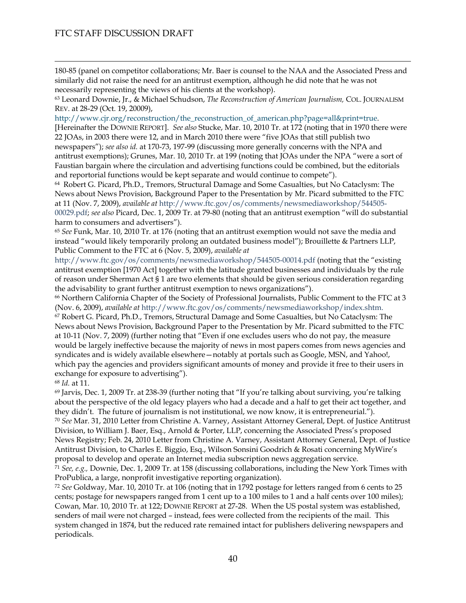$\overline{a}$ 

180-85 (panel on competitor collaborations; Mr. Baer is counsel to the NAA and the Associated Press and similarly did not raise the need for an antitrust exemption, although he did note that he was not necessarily representing the views of his clients at the workshop).

<span id="page-39-0"></span>63 Leonard Downie, Jr., & Michael Schudson, *The Reconstruction of American Journalism,* COL. JOURNALISM REV. at 28-29 (Oct. 19, 20009),

[http://www.cjr.org/reconstruction/the\\_reconstruction\\_of\\_american.php?page=all&print=true.](http://www.cjr.org/reconstruction/the_reconstruction_of_american.php?page=all&print=true)

[Hereinafter the DOWNIE REPORT]. *See also* Stucke, Mar. 10, 2010 Tr. at 172 (noting that in 1970 there were 22 JOAs, in 2003 there were 12, and in March 2010 there were "five JOAs that still publish two newspapers"); *see also id.* at 170-73, 197-99 (discussing more generally concerns with the NPA and antitrust exemptions); Grunes, Mar. 10, 2010 Tr. at 199 (noting that JOAs under the NPA "were a sort of Faustian bargain where the circulation and advertising functions could be combined, but the editorials and reportorial functions would be kept separate and would continue to compete").

<span id="page-39-1"></span>64 Robert G. Picard, Ph.D., Tremors, Structural Damage and Some Casualties, but No Cataclysm: The News about News Provision, Background Paper to the Presentation by Mr. Picard submitted to the FTC at 11 (Nov. 7, 2009), *available at* [http://www.ftc.gov/os/comments/newsmediaworkshop/544505-](http://www.ftc.gov/os/comments/newsmediaworkshop/544505-00029.pdf) [00029.pdf;](http://www.ftc.gov/os/comments/newsmediaworkshop/544505-00029.pdf) *see also* Picard, Dec. 1, 2009 Tr. at 79-80 (noting that an antitrust exemption "will do substantial harm to consumers and advertisers").

<span id="page-39-2"></span><sup>65</sup> *See* Funk, Mar. 10, 2010 Tr. at 176 (noting that an antitrust exemption would not save the media and instead "would likely temporarily prolong an outdated business model"); Brouillette & Partners LLP, Public Comment to the FTC at 6 (Nov. 5, 2009), *available at*

<http://www.ftc.gov/os/comments/newsmediaworkshop/544505-00014.pdf> (noting that the "existing antitrust exemption [1970 Act] together with the latitude granted businesses and individuals by the rule of reason under Sherman Act § 1 are two elements that should be given serious consideration regarding the advisability to grant further antitrust exemption to news organizations").

<span id="page-39-4"></span><span id="page-39-3"></span>66 Northern California Chapter of the Society of Professional Journalists, Public Comment to the FTC at 3 (Nov. 6, 2009), *available at* <http://www.ftc.gov/os/comments/newsmediaworkshop/index.shtm>. 67 Robert G. Picard, Ph.D., Tremors, Structural Damage and Some Casualties, but No Cataclysm: The News about News Provision, Background Paper to the Presentation by Mr. Picard submitted to the FTC at 10-11 (Nov. 7, 2009) (further noting that "Even if one excludes users who do not pay, the measure would be largely ineffective because the majority of news in most papers comes from news agencies and syndicates and is widely available elsewhere—notably at portals such as Google, MSN, and Yahoo!, which pay the agencies and providers significant amounts of money and provide it free to their users in exchange for exposure to advertising").

<span id="page-39-5"></span><sup>68</sup> *Id.* at 11.

<span id="page-39-7"></span><span id="page-39-6"></span> $69$  Jarvis, Dec. 1, 2009 Tr. at 238-39 (further noting that "If you're talking about surviving, you're talking about the perspective of the old legacy players who had a decade and a half to get their act together, and they didn't. The future of journalism is not institutional, we now know, it is entrepreneurial."). <sup>70</sup> *See* Mar. 31, 2010 Letter from Christine A. Varney, Assistant Attorney General, Dept. of Justice Antitrust Division, to William J. Baer, Esq., Arnold & Porter, LLP, concerning the Associated Press's proposed News Registry; Feb. 24, 2010 Letter from Christine A. Varney, Assistant Attorney General, Dept. of Justice Antitrust Division, to Charles E. Biggio, Esq., Wilson Sonsini Goodrich & Rosati concerning MyWire's proposal to develop and operate an Internet media subscription news aggregation service.

<span id="page-39-8"></span><sup>71</sup> *See, e.g.,* Downie, Dec. 1, 2009 Tr. at 158 (discussing collaborations, including the New York Times with ProPublica, a large, nonprofit investigative reporting organization).

<span id="page-39-9"></span><sup>72</sup> *See* Goldway, Mar. 10, 2010 Tr. at 106 (noting that in 1792 postage for letters ranged from 6 cents to 25 cents; postage for newspapers ranged from 1 cent up to a 100 miles to 1 and a half cents over 100 miles); Cowan, Mar. 10, 2010 Tr. at 122; DOWNIE REPORT at 27-28. When the US postal system was established, senders of mail were not charged – instead, fees were collected from the recipients of the mail. This system changed in 1874, but the reduced rate remained intact for publishers delivering newspapers and periodicals.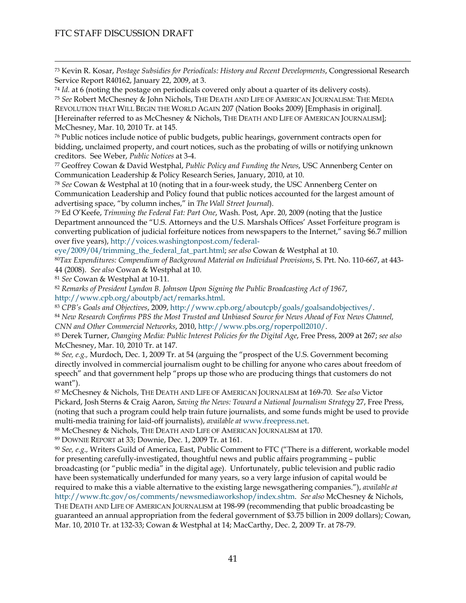<span id="page-40-0"></span> 73 Kevin R. Kosar, *Postage Subsidies for Periodicals: History and Recent Developments*, Congressional Research Service Report R40162, January 22, 2009, at 3.

<span id="page-40-2"></span><span id="page-40-1"></span><sup>74</sup> *Id.* at 6 (noting the postage on periodicals covered only about a quarter of its delivery costs). <sup>75</sup> *See* Robert McChesney & John Nichols, THE DEATH AND LIFE OF AMERICAN JOURNALISM: THE MEDIA REVOLUTION THAT WILL BEGIN THE WORLD AGAIN 207 (Nation Books 2009) [Emphasis in original]. [Hereinafter referred to as McChesney & Nichols, THE DEATH AND LIFE OF AMERICAN JOURNALISM]; McChesney, Mar. 10, 2010 Tr. at 145.

<span id="page-40-3"></span>76 Public notices include notice of public budgets, public hearings, government contracts open for bidding, unclaimed property, and court notices, such as the probating of wills or notifying unknown creditors. See Weber, *Public Notices* at 3-4.

<span id="page-40-4"></span>77 Geoffrey Cowan & David Westphal, *Public Policy and Funding the News*, USC Annenberg Center on Communication Leadership & Policy Research Series, January, 2010, at 10.

<span id="page-40-5"></span><sup>78</sup> *See* Cowan & Westphal at 10 (noting that in a four-week study, the USC Annenberg Center on Communication Leadership and Policy found that public notices accounted for the largest amount of advertising space, "by column inches," in *The Wall Street Journal*).

<span id="page-40-6"></span>79 Ed O'Keefe, *Trimming the Federal Fat: Part One*, Wash. Post, Apr. 20, 2009 (noting that the Justice Department announced the "U.S. Attorneys and the U.S. Marshals Offices' Asset Forfeiture program is converting publication of judicial forfeiture notices from newspapers to the Internet," saving \$6.7 million over five years), [http://voices.washingtonpost.com/federal-](http://voices.washingtonpost.com/federal-eye/2009/04/trimming_the_federal_fat_part.html)

[eye/2009/04/trimming\\_the\\_federal\\_fat\\_part.html](http://voices.washingtonpost.com/federal-eye/2009/04/trimming_the_federal_fat_part.html); *see also* Cowan & Westphal at 10.

<span id="page-40-7"></span><sup>80</sup>*Tax Expenditures: Compendium of Background Material on Individual Provisions*, S. Prt. No. 110-667, at 443- 44 (2008). *See also* Cowan & Westphal at 10.

<span id="page-40-8"></span><sup>81</sup> *See* Cowan & Westphal at 10-11.

<span id="page-40-9"></span><sup>82</sup> *Remarks of President Lyndon B. Johnson Upon Signing the Public Broadcasting Act of 1967*,

<span id="page-40-10"></span><http://www.cpb.org/aboutpb/act/remarks.html>.<br><sup>83</sup> CPB's Goals and Objectives, 2009, [http://www.cpb.org/aboutcpb/goals/goalsandobjectives/.](http://www.cpb.org/aboutcpb/goals/goalsandobjectives/)<br><sup>84</sup> New Research Confirms PBS the Most Trusted and Unbiased Source for News Ahead

<span id="page-40-11"></span>

<span id="page-40-12"></span>*CNN and Other Commercial Networks*, 2010, [http://www.pbs.org/roperpoll2010/.](http://www.pbs.org/roperpoll2010/) 85 Derek Turner, *Changing Media: Public Interest Policies for the Digital Age*, Free Press, 2009 at 267; *see also* McChesney, Mar. 10, 2010 Tr. at 147.

<span id="page-40-13"></span><sup>86</sup> *See, e.g.,* Murdoch, Dec. 1, 2009 Tr. at 54 (arguing the "prospect of the U.S. Government becoming directly involved in commercial journalism ought to be chilling for anyone who cares about freedom of speech" and that government help "props up those who are producing things that customers do not want").

<span id="page-40-14"></span>87 McChesney & Nichols, THE DEATH AND LIFE OF AMERICAN JOURNALISM at 169-70. S*ee also* Victor Pickard, Josh Sterns & Craig Aaron, *Saving the News: Toward a National Journalism Strategy* 27, Free Press, (noting that such a program could help train future journalists, and some funds might be used to provide

<span id="page-40-15"></span>multi-media training for laid-off journalists), *available at* [www.freepress.net.](http://www.freepress.net/) 88 McChesney & Nichols, THE DEATH AND LIFE OF AMERICAN JOURNALISM at 170.

<span id="page-40-16"></span>89 DOWNIE REPORT at 33; Downie, Dec. 1, 2009 Tr. at 161.

<span id="page-40-17"></span><sup>90</sup> *See, e.g.,* Writers Guild of America, East, Public Comment to FTC ("There is a different, workable model for presenting carefully-investigated, thoughtful news and public affairs programming – public broadcasting (or "public media" in the digital age). Unfortunately, public television and public radio have been systematically underfunded for many years, so a very large infusion of capital would be required to make this a viable alternative to the existing large newsgathering companies."), *available at* <http://www.ftc.gov/os/comments/newsmediaworkshop/index.shtm>. *See also* McChesney & Nichols, THE DEATH AND LIFE OF AMERICAN JOURNALISM at 198-99 (recommending that public broadcasting be guaranteed an annual appropriation from the federal government of \$3.75 billion in 2009 dollars); Cowan, Mar. 10, 2010 Tr. at 132-33; Cowan & Westphal at 14; MacCarthy, Dec. 2, 2009 Tr. at 78-79.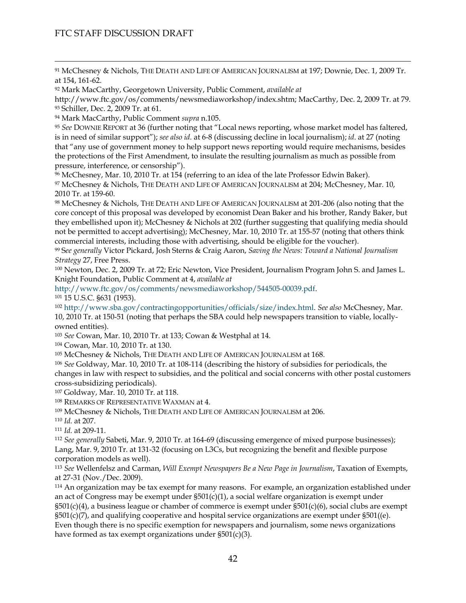<span id="page-41-0"></span>91 McChesney & Nichols, THE DEATH AND LIFE OF AMERICAN JOURNALISM at 197; Downie, Dec. 1, 2009 Tr. at 154, 161-62.

<span id="page-41-1"></span>92 Mark MacCarthy, Georgetown University, Public Comment, *available at*

<span id="page-41-2"></span>http://www.ftc.gov/os/comments/newsmediaworkshop/index.shtm; MacCarthy, Dec. 2, 2009 Tr. at 79. 93 Schiller, Dec. 2, 2009 Tr. at 61.

<span id="page-41-3"></span>94 Mark MacCarthy, Public Comment *supra* n.105.

<span id="page-41-4"></span><sup>95</sup> *See* DOWNIE REPORT at 36 (further noting that "Local news reporting, whose market model has faltered, is in need of similar support"); *see also id.* at 6-8 (discussing decline in local journalism); *id*. at 27 (noting that "any use of government money to help support news reporting would require mechanisms, besides the protections of the First Amendment, to insulate the resulting journalism as much as possible from pressure, interference, or censorship").

<span id="page-41-5"></span>96 McChesney, Mar. 10, 2010 Tr. at 154 (referring to an idea of the late Professor Edwin Baker). 97 McChesney & Nichols, THE DEATH AND LIFE OF AMERICAN JOURNALISM at 204; McChesney, Mar. 10, 2010 Tr. at 159-60.

98 McChesney & Nichols, THE DEATH AND LIFE OF AMERICAN JOURNALISM at 201-206 (also noting that the core concept of this proposal was developed by economist Dean Baker and his brother, Randy Baker, but they embellished upon it); McChesney & Nichols at 202 (further suggesting that qualifying media should not be permitted to accept advertising); McChesney, Mar. 10, 2010 Tr. at 155-57 (noting that others think commercial interests, including those with advertising, should be eligible for the voucher).

<span id="page-41-6"></span>99 S*ee generally* Victor Pickard, Josh Sterns & Craig Aaron, *Saving the News: Toward a National Journalism Strategy* 27, Free Press.

<span id="page-41-7"></span>100 Newton, Dec. 2, 2009 Tr. at 72; Eric Newton, Vice President, Journalism Program John S. and James L. Knight Foundation, Public Comment at 4, *available at*

<http://www.ftc.gov/os/comments/newsmediaworkshop/544505-00039.pdf>. 101 15 U.S.C. §631 (1953).

<span id="page-41-9"></span><span id="page-41-8"></span><sup>102</sup> <http://www.sba.gov/contractingopportunities/officials/size/index.html>. *See also* McChesney, Mar. 10, 2010 Tr. at 150-51 (noting that perhaps the SBA could help newspapers transition to viable, locallyowned entities).

<span id="page-41-10"></span><sup>103</sup> *See* Cowan, Mar. 10, 2010 Tr. at 133; Cowan & Westphal at 14.

104 Cowan, Mar. 10, 2010 Tr. at 130.

105 McChesney & Nichols, THE DEATH AND LIFE OF AMERICAN JOURNALISM at 168.

<sup>106</sup> *See* Goldway, Mar. 10, 2010 Tr. at 108-114 (describing the history of subsidies for periodicals, the changes in law with respect to subsidies, and the political and social concerns with other postal customers cross-subsidizing periodicals).

<span id="page-41-11"></span>107 Goldway, Mar. 10, 2010 Tr. at 118.

<span id="page-41-12"></span>108 REMARKS OF REPRESENTATIVE WAXMAN at 4.

<span id="page-41-13"></span>109 McChesney & Nichols, THE DEATH AND LIFE OF AMERICAN JOURNALISM at 206.

<span id="page-41-14"></span><sup>110</sup> *Id.* at 207.

<span id="page-41-15"></span><sup>111</sup> *Id.* at 209-11.

<span id="page-41-16"></span><sup>112</sup> *See generally* Sabeti, Mar. 9, 2010 Tr. at 164-69 (discussing emergence of mixed purpose businesses); Lang, Mar. 9, 2010 Tr. at 131-32 (focusing on L3Cs, but recognizing the benefit and flexible purpose corporation models as well).

<span id="page-41-17"></span><sup>113</sup> *See* Wellenfelsz and Carman, *Will Exempt Newspapers Be a New Page in Journalism*, Taxation of Exempts, at 27-31 (Nov./Dec. 2009).

<span id="page-41-18"></span>114 An organization may be tax exempt for many reasons. For example, an organization established under an act of Congress may be exempt under  $\S501(c)(1)$ , a social welfare organization is exempt under §501(c)(4), a business league or chamber of commerce is exempt under §501(c)(6), social clubs are exempt  $\S501(c)(7)$ , and qualifying cooperative and hospital service organizations are exempt under  $\S501((e)$ . Even though there is no specific exemption for newspapers and journalism, some news organizations have formed as tax exempt organizations under §501(c)(3).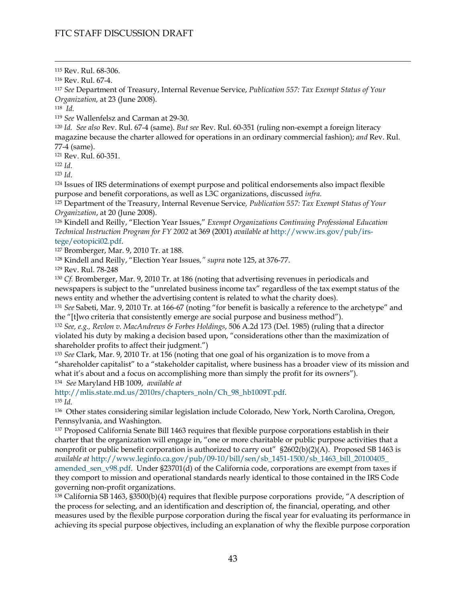<span id="page-42-1"></span>116 Rev. Rul. 67-4.

<span id="page-42-2"></span><sup>117</sup> *See* Department of Treasury, Internal Revenue Service, *Publication 557: Tax Exempt Status of Your Organization,* at 23 (June 2008).

<span id="page-42-3"></span>118 *Id.* 

<span id="page-42-4"></span><sup>119</sup> *See* Wallenfelsz and Carman at 29-30.

<span id="page-42-5"></span><sup>120</sup> *Id. See also* Rev. Rul. 67-4 (same). *But see* Rev. Rul. 60-351 (ruling non-exempt a foreign literacy magazine because the charter allowed for operations in an ordinary commercial fashion); *and* Rev. Rul. 77-4 (same).

<span id="page-42-6"></span>121 Rev. Rul. 60-351.

<span id="page-42-9"></span>

<span id="page-42-8"></span><span id="page-42-7"></span>122 *Id*.<br><sup>123</sup> *Id*. 124 Issues of IRS determinations of exempt purpose and political endorsements also impact flexible purpose and benefit corporations, as well as L3C organizations, discussed *infra*. 125 Department of the Treasury, Internal Revenue Service*, Publication 557: Tax Exempt Status of Your* 

<span id="page-42-10"></span>*Organization*, at 20 (June 2008).

<span id="page-42-11"></span>126 Kindell and Reilly, "Election Year Issues," *Exempt Organizations Continuing Professional Education Technical Instruction Program for FY 2002* at 369 (2001) *available at* [http://www.irs.gov/pub/irs-](http://www.irs.gov/pub/irs-tege/eotopici02.pdf)

<span id="page-42-12"></span>[tege/eotopici02.pdf.](http://www.irs.gov/pub/irs-tege/eotopici02.pdf) 127 Bromberger, Mar. 9, 2010 Tr. at 188.

<span id="page-42-13"></span>128 Kindell and Reilly, "Election Year Issues*," supra* note 125, at 376-77.

<span id="page-42-14"></span>129 Rev. Rul. 78-248

<span id="page-42-15"></span><sup>130</sup> *Cf.* Bromberger, Mar. 9, 2010 Tr. at 186 (noting that advertising revenues in periodicals and newspapers is subject to the "unrelated business income tax" regardless of the tax exempt status of the news entity and whether the advertising content is related to what the charity does).

<span id="page-42-16"></span><sup>131</sup> *See* Sabeti, Mar. 9, 2010 Tr. at 166-67 (noting "for benefit is basically a reference to the archetype" and the "[t]wo criteria that consistently emerge are social purpose and business method").

<span id="page-42-17"></span><sup>132</sup> *See, e.g., Revlon v. MacAndrews & Forbes Holdings*, 506 A.2d 173 (Del. 1985) (ruling that a director violated his duty by making a decision based upon, "considerations other than the maximization of shareholder profits to affect their judgment.")

<span id="page-42-18"></span><sup>133</sup> *See* Clark, Mar. 9, 2010 Tr. at 156 (noting that one goal of his organization is to move from a "shareholder capitalist" to a "stakeholder capitalist, where business has a broader view of its mission and what it's about and a focus on accomplishing more than simply the profit for its owners"). 134 *See* Maryland HB 1009, *available at*

<span id="page-42-19"></span>[http://mlis.state.md.us/2010rs/chapters\\_noln/Ch\\_98\\_hb1009T.pdf](http://mlis.state.md.us/2010rs/chapters_noln/Ch_98_hb1009T.pdf). 135 *Id.* 

<span id="page-42-21"></span><span id="page-42-20"></span>136 Other states considering similar legislation include Colorado, New York, North Carolina, Oregon, Pennsylvania, and Washington.

<span id="page-42-22"></span>137 Proposed California Senate Bill 1463 requires that flexible purpose corporations establish in their charter that the organization will engage in, "one or more charitable or public purpose activities that a nonprofit or public benefit corporation is authorized to carry out" §2602(b)(2)(A). Proposed SB 1463 is *available at* [http://www.leginfo.ca.gov/pub/09-10/bill/sen/sb\\_1451-1500/sb\\_1463\\_bill\\_20100405\\_](http://www.leginfo.ca.gov/pub/09-10/bill/sen/sb_1451-1500/sb_1463_bill_20100405_%20amended_sen_v98.pdf)  [amended\\_sen\\_v98.pdf.](http://www.leginfo.ca.gov/pub/09-10/bill/sen/sb_1451-1500/sb_1463_bill_20100405_%20amended_sen_v98.pdf) Under §23701(d) of the California code, corporations are exempt from taxes if they comport to mission and operational standards nearly identical to those contained in the IRS Code governing non-profit organizations.

<span id="page-42-23"></span>138 California SB 1463, §3500(b)(4) requires that flexible purpose corporations provide, "A description of the process for selecting, and an identification and description of, the financial, operating, and other measures used by the flexible purpose corporation during the fiscal year for evaluating its performance in achieving its special purpose objectives, including an explanation of why the flexible purpose corporation

<span id="page-42-0"></span> <sup>115</sup> Rev. Rul. 68-306.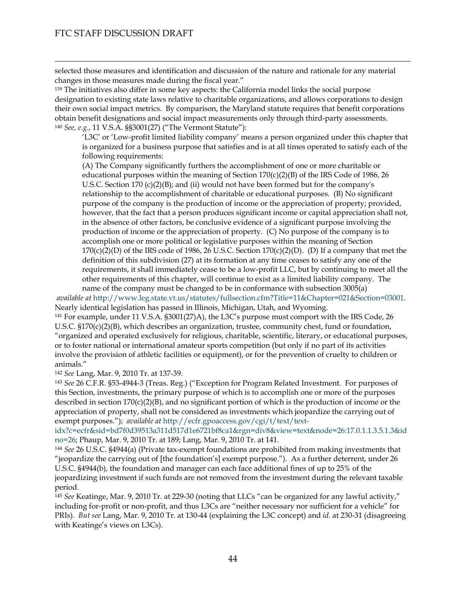$\overline{a}$ 

selected those measures and identification and discussion of the nature and rationale for any material changes in those measures made during the fiscal year."

<span id="page-43-1"></span><span id="page-43-0"></span><sup>139</sup> The initiatives also differ in some key aspects: the California model links the social purpose designation to existing state laws relative to charitable organizations, and allows corporations to design their own social impact metrics. By comparison, the Maryland statute requires that benefit corporations obtain benefit designations and social impact measurements only through third-party assessments. <sup>140</sup> *See, e.g.*, 11 V.S.A. §§3001(27) ("The Vermont Statute"):

'L3C' or 'Low-profit limited liability company' means a person organized under this chapter that is organized for a business purpose that satisfies and is at all times operated to satisfy each of the following requirements:

(A) The Company significantly furthers the accomplishment of one or more charitable or educational purposes within the meaning of Section  $170(c)(2)(B)$  of the IRS Code of 1986, 26 U.S.C. Section 170 (c)(2)(B); and (ii) would not have been formed but for the company's relationship to the accomplishment of charitable or educational purposes. (B) No significant purpose of the company is the production of income or the appreciation of property; provided, however, that the fact that a person produces significant income or capital appreciation shall not, in the absence of other factors, be conclusive evidence of a significant purpose involving the production of income or the appreciation of property. (C) No purpose of the company is to accomplish one or more political or legislative purposes within the meaning of Section  $170(c)(2)(D)$  of the IRS code of 1986, 26 U.S.C. Section  $170(c)(2)(D)$ . (D) If a company that met the definition of this subdivision (27) at its formation at any time ceases to satisfy any one of the requirements, it shall immediately cease to be a low-profit LLC, but by continuing to meet all the other requirements of this chapter, will continue to exist as a limited liability company. The name of the company must be changed to be in conformance with subsection 3005(a)

*available at* [http://www.leg.state.vt.us/statutes/fullsection.cfm?Title=11&Chapter=021&Section=03001.](http://www.leg.state.vt.us/statutes/fullsection.cfm?Title=11&Chapter=021&Section=03001) Nearly identical legislation has passed in Illinois, Michigan, Utah, and Wyoming.

<span id="page-43-2"></span>141 For example, under 11 V.S.A. §3001(27)A), the L3C's purpose must comport with the IRS Code, 26 U.S.C. §170(c)(2)(B), which describes an organization, trustee, community chest, fund or foundation, "organized and operated exclusively for religious, charitable, scientific, literary, or educational purposes, or to foster national or international amateur sports competition (but only if no part of its activities involve the provision of athletic facilities or equipment), or for the prevention of cruelty to children or animals."

<span id="page-43-3"></span><sup>142</sup> *See* Lang, Mar. 9, 2010 Tr. at 137-39.

<span id="page-43-4"></span><sup>143</sup> *See* 26 C.F.R. §53-4944-3 (Treas. Reg.) ("Exception for Program Related Investment. For purposes of this Section, investments, the primary purpose of which is to accomplish one or more of the purposes described in section  $170(c)(2)(B)$ , and no significant portion of which is the production of income or the appreciation of property, shall not be considered as investments which jeopardize the carrying out of exempt purposes."); *available at* [http://ecfr.gpoaccess.gov/cgi/t/text/text-](http://ecfr.gpoaccess.gov/cgi/t/text/text-idx?c=ecfr&sid=bd7f0d39513a311d517d1e6721bf8ca1&rgn=div8&view=text&node=26:17.0.1.1.3.5.1.3&idno=26)

[idx?c=ecfr&sid=bd7f0d39513a311d517d1e6721bf8ca1&rgn=div8&view=text&node=26:17.0.1.1.3.5.1.3&id](http://ecfr.gpoaccess.gov/cgi/t/text/text-idx?c=ecfr&sid=bd7f0d39513a311d517d1e6721bf8ca1&rgn=div8&view=text&node=26:17.0.1.1.3.5.1.3&idno=26) [no=26](http://ecfr.gpoaccess.gov/cgi/t/text/text-idx?c=ecfr&sid=bd7f0d39513a311d517d1e6721bf8ca1&rgn=div8&view=text&node=26:17.0.1.1.3.5.1.3&idno=26); Phaup, Mar. 9, 2010 Tr. at 189; Lang, Mar. 9, 2010 Tr. at 141.

<span id="page-43-5"></span><sup>144</sup> *See* 26 U.S.C. §4944(a) (Private tax-exempt foundations are prohibited from making investments that "jeopardize the carrying out of [the foundation's] exempt purpose."). As a further deterrent, under 26 U.S.C. §4944(b), the foundation and manager can each face additional fines of up to 25% of the jeopardizing investment if such funds are not removed from the investment during the relevant taxable period.

<span id="page-43-6"></span><sup>145</sup> *See* Keatinge, Mar. 9, 2010 Tr. at 229-30 (noting that LLCs "can be organized for any lawful activity," including for-profit or non-profit, and thus L3Cs are "neither necessary nor sufficient for a vehicle" for PRIs). *But see* Lang, Mar. 9, 2010 Tr. at 130-44 (explaining the L3C concept) and *id.* at 230-31 (disagreeing with Keatinge's views on L3Cs).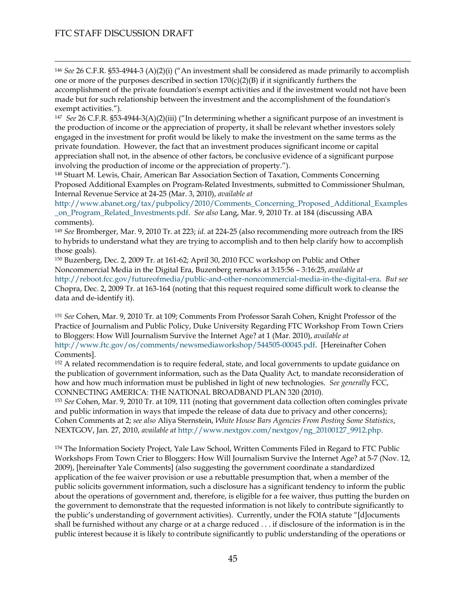<span id="page-44-0"></span> 146 *See* 26 C.F.R. §53-4944-3 (A)(2)(i) ("An investment shall be considered as made primarily to accomplish one or more of the purposes described in section  $170(c)(2)(B)$  if it significantly furthers the accomplishment of the private foundation's exempt activities and if the investment would not have been made but for such relationship between the investment and the accomplishment of the foundation's exempt activities.").

<span id="page-44-1"></span>147 *See* 26 C.F.R. §53-4944-3(A)(2)(iii) ("In determining whether a significant purpose of an investment is the production of income or the appreciation of property, it shall be relevant whether investors solely engaged in the investment for profit would be likely to make the investment on the same terms as the private foundation. However, the fact that an investment produces significant income or capital appreciation shall not, in the absence of other factors, be conclusive evidence of a significant purpose involving the production of income or the appreciation of property.").

<span id="page-44-2"></span>148 Stuart M. Lewis, Chair, American Bar Association Section of Taxation, Comments Concerning Proposed Additional Examples on Program-Related Investments, submitted to Commissioner Shulman, Internal Revenue Service at 24-25 (Mar. 3, 2010), *available at*

[http://www.abanet.org/tax/pubpolicy/2010/Comments\\_Concerning\\_Proposed\\_Additional\\_Examples](http://www.abanet.org/tax/pubpolicy/2010/Comments_Concerning_Proposed_Additional_Examples_on_Program_Related_Investments.pdf) [\\_on\\_Program\\_Related\\_Investments.pdf.](http://www.abanet.org/tax/pubpolicy/2010/Comments_Concerning_Proposed_Additional_Examples_on_Program_Related_Investments.pdf) *See also* Lang, Mar. 9, 2010 Tr. at 184 (discussing ABA comments).

<span id="page-44-3"></span><sup>149</sup> *See* Bromberger, Mar. 9, 2010 Tr. at 223; *id.* at 224-25 (also recommending more outreach from the IRS to hybrids to understand what they are trying to accomplish and to then help clarify how to accomplish those goals).

<span id="page-44-4"></span>150 Buzenberg, Dec. 2, 2009 Tr. at 161-62; April 30, 2010 FCC workshop on Public and Other Noncommercial Media in the Digital Era, Buzenberg remarks at 3:15:56 – 3:16:25, *available at* <http://reboot.fcc.gov/futureofmedia/public-and-other-noncommercial-media-in-the-digital-era>. *But see* Chopra, Dec. 2, 2009 Tr. at 163-164 (noting that this request required some difficult work to cleanse the data and de-identify it).

<span id="page-44-5"></span><sup>151</sup> *See* Cohen, Mar. 9, 2010 Tr. at 109; Comments From Professor Sarah Cohen, Knight Professor of the Practice of Journalism and Public Policy, Duke University Regarding FTC Workshop From Town Criers to Bloggers: How Will Journalism Survive the Internet Age? at 1 (Mar. 2010), *available at* <http://www.ftc.gov/os/comments/newsmediaworkshop/544505-00045.pdf>. [Hereinafter Cohen Comments].

<span id="page-44-6"></span><sup>152</sup> A related recommendation is to require federal, state, and local governments to update guidance on the publication of government information, such as the Data Quality Act, to mandate reconsideration of how and how much information must be published in light of new technologies. *See generally* FCC, CONNECTING AMERICA: THE NATIONAL BROADBAND PLAN 320 (2010).

<span id="page-44-7"></span><sup>153</sup> *See* Cohen, Mar. 9, 2010 Tr. at 109, 111 (noting that government data collection often comingles private and public information in ways that impede the release of data due to privacy and other concerns); Cohen Comments at 2; *see also* Aliya Sternstein, *White House Bars Agencies From Posting Some Statistics*, NEXTGOV, Jan. 27, 2010, *available at* [http://www.nextgov.com/nextgov/ng\\_20100127\\_9912.php.](http://www.nextgov.com/nextgov/ng_20100127_9912.php)

<span id="page-44-8"></span>154 The Information Society Project, Yale Law School, Written Comments Filed in Regard to FTC Public Workshops From Town Crier to Bloggers: How Will Journalism Survive the Internet Age? at 5-7 (Nov. 12, 2009), [hereinafter Yale Comments] (also suggesting the government coordinate a standardized application of the fee waiver provision or use a rebuttable presumption that, when a member of the public solicits government information, such a disclosure has a significant tendency to inform the public about the operations of government and, therefore, is eligible for a fee waiver, thus putting the burden on the government to demonstrate that the requested information is not likely to contribute significantly to the public's understanding of government activities). Currently, under the FOIA statute "[d]ocuments shall be furnished without any charge or at a charge reduced . . . if disclosure of the information is in the public interest because it is likely to contribute significantly to public understanding of the operations or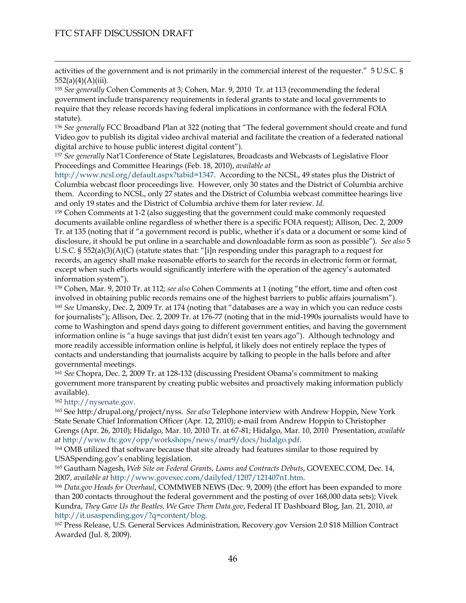$\overline{a}$ 

activities of the government and is not primarily in the commercial interest of the requester." 5 U.S.C. §  $552(a)(4)(A)(iii)$ .

<span id="page-45-0"></span><sup>155</sup> *See generally* Cohen Comments at 3; Cohen, Mar. 9, 2010 Tr. at 113 (recommending the federal government include transparency requirements in federal grants to state and local governments to require that they release records having federal implications in conformance with the federal FOIA statute).

<span id="page-45-1"></span><sup>156</sup> *See generally* FCC Broadband Plan at 322 (noting that "The federal government should create and fund Video.gov to publish its digital video archival material and facilitate the creation of a federated national digital archive to house public interest digital content").

<span id="page-45-2"></span><sup>157</sup> *See generally* Nat'l Conference of State Legislatures, Broadcasts and Webcasts of Legislative Floor Proceedings and Committee Hearings (Feb. 18, 2010), *available at*

<http://www.ncsl.org/default.aspx?tabid=1347>. According to the NCSL, 49 states plus the District of Columbia webcast floor proceedings live. However, only 30 states and the District of Columbia archive them. According to NCSL, only 27 states and the District of Columbia webcast committee hearings live and only 19 states and the District of Columbia archive them for later review. *Id*. 158 Cohen Comments at 1-2 (also suggesting that the government could make commonly requested

<span id="page-45-3"></span>documents available online regardless of whether there is a specific FOIA request); Allison, Dec. 2, 2009 Tr. at 135 (noting that if "a government record is public, whether it's data or a document or some kind of disclosure, it should be put online in a searchable and downloadable form as soon as possible"). *See also* 5 U.S.C.  $\S 552(a)(3)(A)(C)$  (statute states that: "[i]n responding under this paragraph to a request for records, an agency shall make reasonable efforts to search for the records in electronic form or format, except when such efforts would significantly interfere with the operation of the agency's automated information system").

<span id="page-45-5"></span><span id="page-45-4"></span>159 Cohen, Mar. 9, 2010 Tr. at 112; *see also* Cohen Comments at 1 (noting "the effort, time and often cost involved in obtaining public records remains one of the highest barriers to public affairs journalism"). 160 *See* Umansky, Dec. 2, 2009 Tr. at 174 (noting that "databases are a way in which you can reduce costs for journalists"); Allison, Dec. 2, 2009 Tr. at 176-77 (noting that in the mid-1990s journalists would have to come to Washington and spend days going to different government entities, and having the government information online is "a huge savings that just didn't exist ten years ago"). Although technology and more readily accessible information online is helpful, it likely does not entirely replace the types of contacts and understanding that journalists acquire by talking to people in the halls before and after governmental meetings.

<span id="page-45-6"></span><sup>161</sup> *See* Chopra, Dec. 2, 2009 Tr. at 128-132 (discussing President Obama's commitment to making government more transparent by creating public websites and proactively making information publicly available).

<span id="page-45-8"></span><span id="page-45-7"></span><sup>162</sup> [http://nysenate.gov.](http://nysenate.gov/) 163 See http:/drupal.org/project/nyss. *See also* Telephone interview with Andrew Hoppin, New York State Senate Chief Information Officer (Apr. 12, 2010); e-mail from Andrew Hoppin to Christopher Grengs (Apr. 26, 2010); Hidalgo, Mar. 10, 2010 Tr. at 67-81; Hidalgo, Mar. 10, 2010 Presentation, *available* 

<span id="page-45-9"></span>*at* [http://www.ftc.gov/opp/workshops/news/mar9/docs/hidalgo.pdf.](http://www.ftc.gov/opp/workshops/news/mar9/docs/hidalgo.pdf) 164 OMB utilized that software because that site already had features similar to those required by USASpending.gov's enabling legislation.

<span id="page-45-10"></span>165 Gautham Nagesh, *Web Site on Federal Grants, Loans and Contracts Debuts*, GOVEXEC.COM, Dec. 14,

<span id="page-45-11"></span>2007, *available at* [http://www.govexec.com/dailyfed/1207/121407n1.htm.](http://www.govexec.com/dailyfed/1207/121407n1.htm) 166 *Data.gov Heads for Overhaul*, COMMWEB NEWS (Dec. 9, 2009) (the effort has been expanded to more than 200 contacts throughout the federal government and the posting of over 168,000 data sets); Vivek Kundra, *They Gave Us the Beatles, We Gave Them Data.gov*, Federal IT Dashboard Blog, Jan. 21, 2010, *at* [http://it.usaspending.gov/?q=content/blog.](http://it.usaspending.gov/?q=content/blog)<br><sup>167</sup> Press Release, U.S. General Services Administration, Recovery.gov Version 2.0 \$18 Million Contract

<span id="page-45-12"></span>Awarded (Jul. 8, 2009).